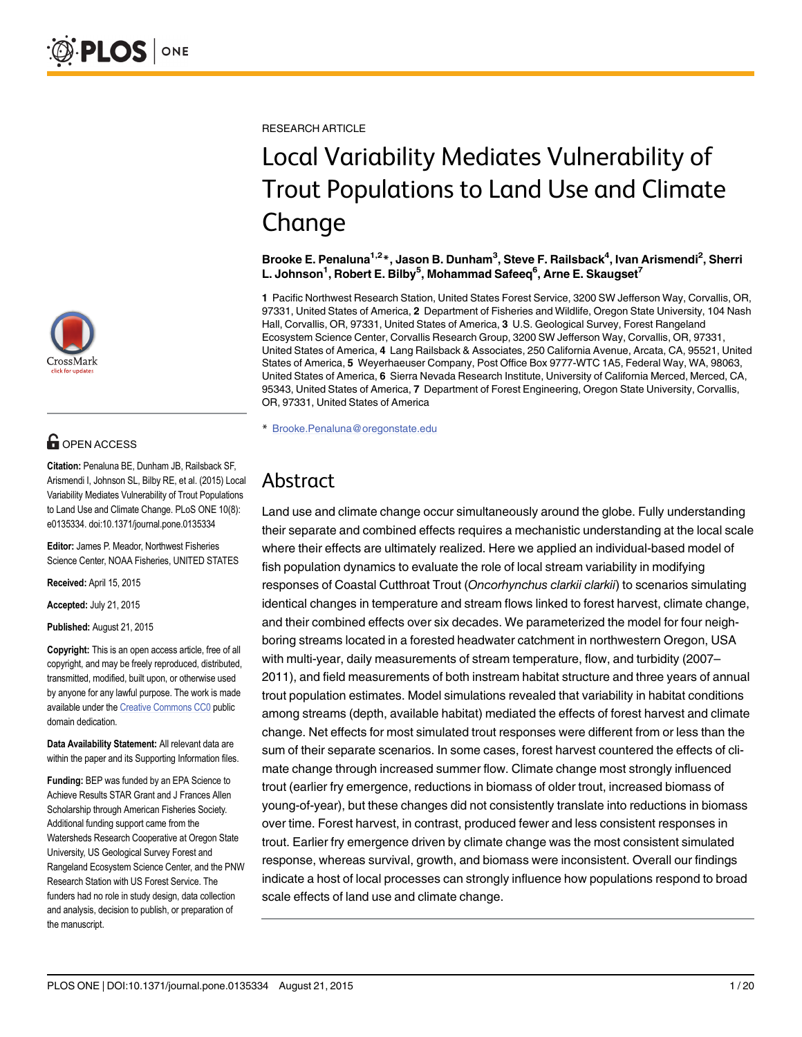

# **G** OPEN ACCESS

Citation: Penaluna BE, Dunham JB, Railsback SF, Arismendi I, Johnson SL, Bilby RE, et al. (2015) Local Variability Mediates Vulnerability of Trout Populations to Land Use and Climate Change. PLoS ONE 10(8): e0135334. doi:10.1371/journal.pone.0135334

Editor: James P. Meador, Northwest Fisheries Science Center, NOAA Fisheries, UNITED STATES

Received: April 15, 2015

Accepted: July 21, 2015

Published: August 21, 2015

Copyright: This is an open access article, free of all copyright, and may be freely reproduced, distributed, transmitted, modified, built upon, or otherwise used by anyone for any lawful purpose. The work is made available under the [Creative Commons CC0](https://creativecommons.org/publicdomain/zero/1.0/) public domain dedication.

Data Availability Statement: All relevant data are within the paper and its Supporting Information files.

Funding: BEP was funded by an EPA Science to Achieve Results STAR Grant and J Frances Allen Scholarship through American Fisheries Society. Additional funding support came from the Watersheds Research Cooperative at Oregon State University, US Geological Survey Forest and Rangeland Ecosystem Science Center, and the PNW Research Station with US Forest Service. The funders had no role in study design, data collection and analysis, decision to publish, or preparation of the manuscript.

RESEARCH ARTICLE

# Local Variability Mediates Vulnerability of Trout Populations to Land Use and Climate Change

Brooke E. Penaluna<sup>1,2</sup>\*, Jason B. Dunham<sup>3</sup>, Steve F. Railsback<sup>4</sup>, Ivan Arismendi<sup>2</sup>, Sherri L. Johnson $^1$ , Robert E. Bilby $^5$ , Mohammad Safeeq $^6$ , Arne E. Skaugset $^7$ 

1 Pacific Northwest Research Station, United States Forest Service, 3200 SW Jefferson Way, Corvallis, OR, 97331, United States of America, 2 Department of Fisheries and Wildlife, Oregon State University, 104 Nash Hall, Corvallis, OR, 97331, United States of America, 3 U.S. Geological Survey, Forest Rangeland Ecosystem Science Center, Corvallis Research Group, 3200 SW Jefferson Way, Corvallis, OR, 97331, United States of America, 4 Lang Railsback & Associates, 250 California Avenue, Arcata, CA, 95521, United States of America, 5 Weyerhaeuser Company, Post Office Box 9777-WTC 1A5, Federal Way, WA, 98063, United States of America, 6 Sierra Nevada Research Institute, University of California Merced, Merced, CA, 95343, United States of America, 7 Department of Forest Engineering, Oregon State University, Corvallis, OR, 97331, United States of America

\* Brooke.Penaluna@oregonstate.edu

# Abstract

Land use and climate change occur simultaneously around the globe. Fully understanding their separate and combined effects requires a mechanistic understanding at the local scale where their effects are ultimately realized. Here we applied an individual-based model of fish population dynamics to evaluate the role of local stream variability in modifying responses of Coastal Cutthroat Trout (Oncorhynchus clarkii clarkii) to scenarios simulating identical changes in temperature and stream flows linked to forest harvest, climate change, and their combined effects over six decades. We parameterized the model for four neighboring streams located in a forested headwater catchment in northwestern Oregon, USA with multi-year, daily measurements of stream temperature, flow, and turbidity (2007– 2011), and field measurements of both instream habitat structure and three years of annual trout population estimates. Model simulations revealed that variability in habitat conditions among streams (depth, available habitat) mediated the effects of forest harvest and climate change. Net effects for most simulated trout responses were different from or less than the sum of their separate scenarios. In some cases, forest harvest countered the effects of climate change through increased summer flow. Climate change most strongly influenced trout (earlier fry emergence, reductions in biomass of older trout, increased biomass of young-of-year), but these changes did not consistently translate into reductions in biomass over time. Forest harvest, in contrast, produced fewer and less consistent responses in trout. Earlier fry emergence driven by climate change was the most consistent simulated response, whereas survival, growth, and biomass were inconsistent. Overall our findings indicate a host of local processes can strongly influence how populations respond to broad scale effects of land use and climate change.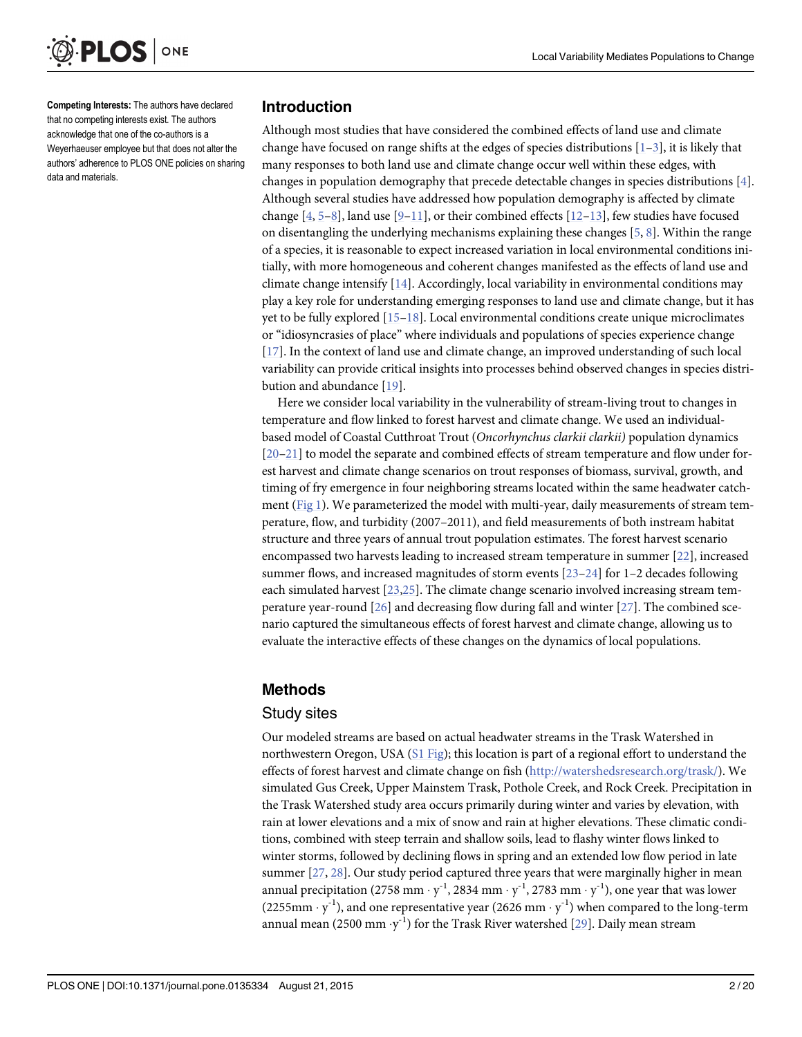<span id="page-1-0"></span>

Competing Interests: The authors have declared that no competing interests exist. The authors acknowledge that one of the co-authors is a Weyerhaeuser employee but that does not alter the authors' adherence to PLOS ONE policies on sharing data and materials.

#### Introduction

Although most studies that have considered the combined effects of land use and climate change have focused on range shifts at the edges of species distributions  $[1-3]$  $[1-3]$  $[1-3]$  $[1-3]$ , it is likely that many responses to both land use and climate change occur well within these edges, with changes in population demography that precede detectable changes in species distributions [[4](#page-16-0)]. Although several studies have addressed how population demography is affected by climate change  $[4, 5-8]$  $[4, 5-8]$  $[4, 5-8]$  $[4, 5-8]$  $[4, 5-8]$  $[4, 5-8]$ , land use  $[9-11]$  $[9-11]$  $[9-11]$  $[9-11]$  $[9-11]$ , or their combined effects  $[12-13]$  $[12-13]$  $[12-13]$  $[12-13]$ , few studies have focused on disentangling the underlying mechanisms explaining these changes  $[5, 8]$  $[5, 8]$  $[5, 8]$  $[5, 8]$ . Within the range of a species, it is reasonable to expect increased variation in local environmental conditions initially, with more homogeneous and coherent changes manifested as the effects of land use and climate change intensify  $[14]$  $[14]$ . Accordingly, local variability in environmental conditions may play a key role for understanding emerging responses to land use and climate change, but it has yet to be fully explored  $[15-18]$  $[15-18]$  $[15-18]$  $[15-18]$  $[15-18]$ . Local environmental conditions create unique microclimates or "idiosyncrasies of place" where individuals and populations of species experience change [\[17](#page-16-0)]. In the context of land use and climate change, an improved understanding of such local variability can provide critical insights into processes behind observed changes in species distribution and abundance [[19](#page-16-0)].

Here we consider local variability in the vulnerability of stream-living trout to changes in temperature and flow linked to forest harvest and climate change. We used an individualbased model of Coastal Cutthroat Trout (Oncorhynchus clarkii clarkii) population dynamics [\[20](#page-16-0)–[21\]](#page-16-0) to model the separate and combined effects of stream temperature and flow under forest harvest and climate change scenarios on trout responses of biomass, survival, growth, and timing of fry emergence in four neighboring streams located within the same headwater catchment ( $Fig 1$ ). We parameterized the model with multi-year, daily measurements of stream temperature, flow, and turbidity (2007–2011), and field measurements of both instream habitat structure and three years of annual trout population estimates. The forest harvest scenario encompassed two harvests leading to increased stream temperature in summer [[22\]](#page-16-0), increased summer flows, and increased magnitudes of storm events [\[23](#page-16-0)–[24\]](#page-17-0) for 1–2 decades following each simulated harvest  $[23,25]$  $[23,25]$  $[23,25]$  $[23,25]$  $[23,25]$ . The climate change scenario involved increasing stream temperature year-round  $[26]$  and decreasing flow during fall and winter  $[27]$ . The combined scenario captured the simultaneous effects of forest harvest and climate change, allowing us to evaluate the interactive effects of these changes on the dynamics of local populations.

#### Methods

#### Study sites

Our modeled streams are based on actual headwater streams in the Trask Watershed in northwestern Oregon, USA  $(S1 \text{ Fig})$ ; this location is part of a regional effort to understand the effects of forest harvest and climate change on fish [\(http://watershedsresearch.org/trask/](http://watershedsresearch.org/trask/)). We simulated Gus Creek, Upper Mainstem Trask, Pothole Creek, and Rock Creek. Precipitation in the Trask Watershed study area occurs primarily during winter and varies by elevation, with rain at lower elevations and a mix of snow and rain at higher elevations. These climatic conditions, combined with steep terrain and shallow soils, lead to flashy winter flows linked to winter storms, followed by declining flows in spring and an extended low flow period in late summer  $[27, 28]$  $[27, 28]$  $[27, 28]$  $[27, 28]$  $[27, 28]$ . Our study period captured three years that were marginally higher in mean annual precipitation (2758 mm  $\cdot$  y<sup>-1</sup>, 2834 mm  $\cdot$  y<sup>-1</sup>, 2783 mm  $\cdot$  y<sup>-1</sup>), one year that was lower (2255mm  $\cdot$  y<sup>-1</sup>), and one representative year (2626 mm  $\cdot$  y<sup>-1</sup>) when compared to the long-term annual mean (2500 mm  $\cdot y^{-1}$ ) for the Trask River watershed [\[29\]](#page-17-0). Daily mean stream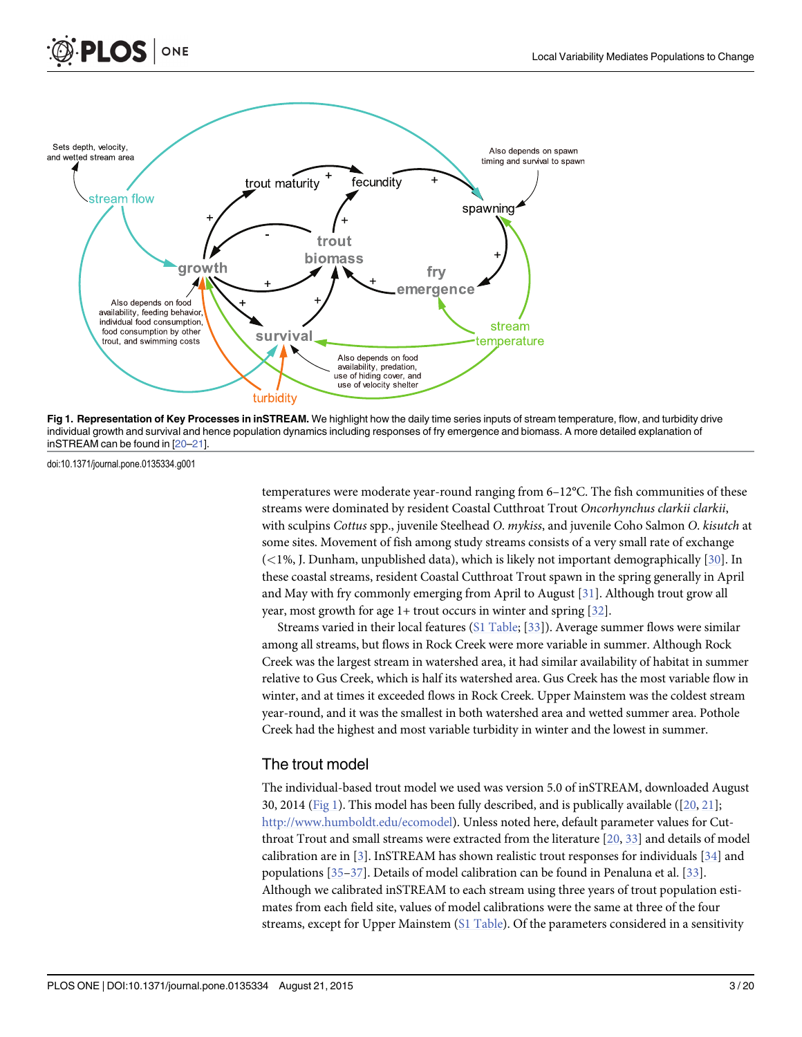<span id="page-2-0"></span>





doi:10.1371/journal.pone.0135334.g001

temperatures were moderate year-round ranging from 6–12°C. The fish communities of these streams were dominated by resident Coastal Cutthroat Trout Oncorhynchus clarkii clarkii, with sculpins Cottus spp., juvenile Steelhead O. mykiss, and juvenile Coho Salmon O. kisutch at some sites. Movement of fish among study streams consists of a very small rate of exchange  $\ll$  1%, J. Dunham, unpublished data), which is likely not important demographically [[30](#page-17-0)]. In these coastal streams, resident Coastal Cutthroat Trout spawn in the spring generally in April and May with fry commonly emerging from April to August [[31](#page-17-0)]. Although trout grow all year, most growth for age 1+ trout occurs in winter and spring [[32](#page-17-0)].

Streams varied in their local features  $(S1 Table; [33])$  $(S1 Table; [33])$  $(S1 Table; [33])$  $(S1 Table; [33])$ . Average summer flows were similar among all streams, but flows in Rock Creek were more variable in summer. Although Rock Creek was the largest stream in watershed area, it had similar availability of habitat in summer relative to Gus Creek, which is half its watershed area. Gus Creek has the most variable flow in winter, and at times it exceeded flows in Rock Creek. Upper Mainstem was the coldest stream year-round, and it was the smallest in both watershed area and wetted summer area. Pothole Creek had the highest and most variable turbidity in winter and the lowest in summer.

#### The trout model

The individual-based trout model we used was version 5.0 of inSTREAM, downloaded August 30, 2014 (Fig 1). This model has been fully described, and is publically available ([[20,](#page-16-0) [21\]](#page-16-0); [http://www.humboldt.edu/ecomodel\)](http://www.humboldt.edu/ecomodel). Unless noted here, default parameter values for Cutthroat Trout and small streams were extracted from the literature  $[20, 33]$  $[20, 33]$  $[20, 33]$  $[20, 33]$  $[20, 33]$  and details of model calibration are in  $[3]$ . InSTREAM has shown realistic trout responses for individuals  $[34]$  and populations [[35](#page-17-0)–[37](#page-17-0)]. Details of model calibration can be found in Penaluna et al. [\[33\]](#page-17-0). Although we calibrated inSTREAM to each stream using three years of trout population estimates from each field site, values of model calibrations were the same at three of the four streams, except for Upper Mainstem  $(S1 Table)$ . Of the parameters considered in a sensitivity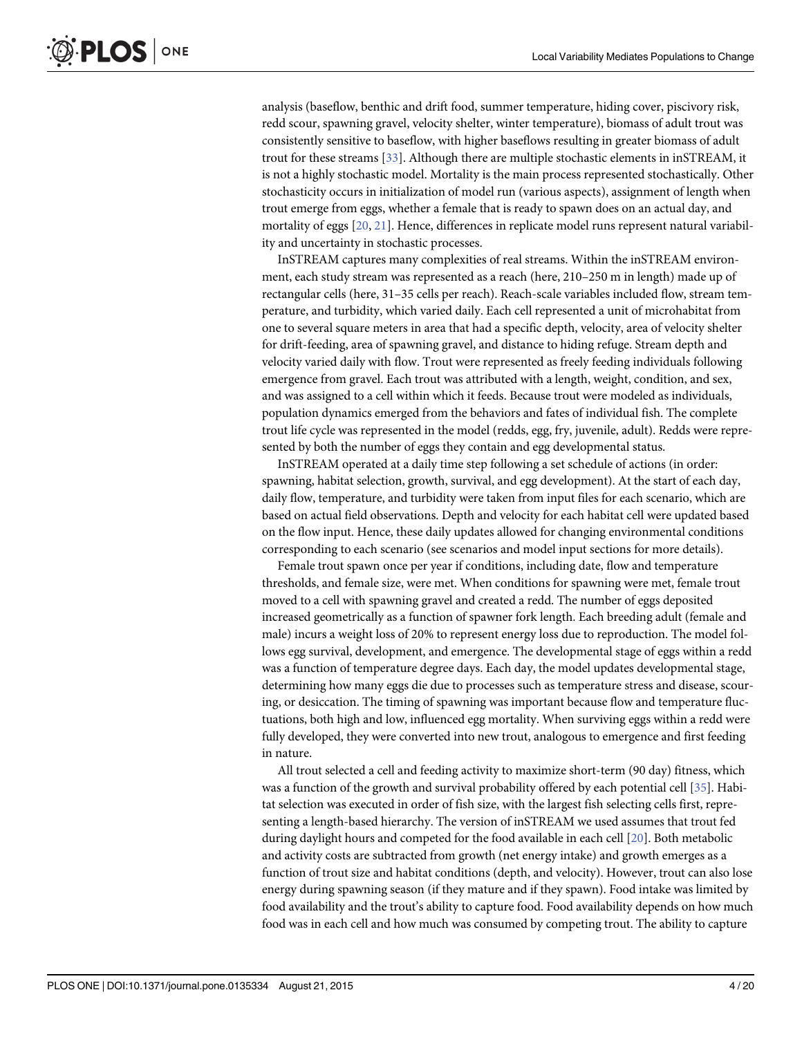analysis (baseflow, benthic and drift food, summer temperature, hiding cover, piscivory risk, redd scour, spawning gravel, velocity shelter, winter temperature), biomass of adult trout was consistently sensitive to baseflow, with higher baseflows resulting in greater biomass of adult trout for these streams [[33](#page-17-0)]. Although there are multiple stochastic elements in inSTREAM, it is not a highly stochastic model. Mortality is the main process represented stochastically. Other stochasticity occurs in initialization of model run (various aspects), assignment of length when trout emerge from eggs, whether a female that is ready to spawn does on an actual day, and mortality of eggs [[20](#page-16-0), [21](#page-16-0)]. Hence, differences in replicate model runs represent natural variability and uncertainty in stochastic processes.

InSTREAM captures many complexities of real streams. Within the inSTREAM environment, each study stream was represented as a reach (here, 210–250 m in length) made up of rectangular cells (here, 31–35 cells per reach). Reach-scale variables included flow, stream temperature, and turbidity, which varied daily. Each cell represented a unit of microhabitat from one to several square meters in area that had a specific depth, velocity, area of velocity shelter for drift-feeding, area of spawning gravel, and distance to hiding refuge. Stream depth and velocity varied daily with flow. Trout were represented as freely feeding individuals following emergence from gravel. Each trout was attributed with a length, weight, condition, and sex, and was assigned to a cell within which it feeds. Because trout were modeled as individuals, population dynamics emerged from the behaviors and fates of individual fish. The complete trout life cycle was represented in the model (redds, egg, fry, juvenile, adult). Redds were represented by both the number of eggs they contain and egg developmental status.

InSTREAM operated at a daily time step following a set schedule of actions (in order: spawning, habitat selection, growth, survival, and egg development). At the start of each day, daily flow, temperature, and turbidity were taken from input files for each scenario, which are based on actual field observations. Depth and velocity for each habitat cell were updated based on the flow input. Hence, these daily updates allowed for changing environmental conditions corresponding to each scenario (see scenarios and model input sections for more details).

Female trout spawn once per year if conditions, including date, flow and temperature thresholds, and female size, were met. When conditions for spawning were met, female trout moved to a cell with spawning gravel and created a redd. The number of eggs deposited increased geometrically as a function of spawner fork length. Each breeding adult (female and male) incurs a weight loss of 20% to represent energy loss due to reproduction. The model follows egg survival, development, and emergence. The developmental stage of eggs within a redd was a function of temperature degree days. Each day, the model updates developmental stage, determining how many eggs die due to processes such as temperature stress and disease, scouring, or desiccation. The timing of spawning was important because flow and temperature fluctuations, both high and low, influenced egg mortality. When surviving eggs within a redd were fully developed, they were converted into new trout, analogous to emergence and first feeding in nature.

All trout selected a cell and feeding activity to maximize short-term (90 day) fitness, which was a function of the growth and survival probability offered by each potential cell [\[35\]](#page-17-0). Habitat selection was executed in order of fish size, with the largest fish selecting cells first, representing a length-based hierarchy. The version of inSTREAM we used assumes that trout fed during daylight hours and competed for the food available in each cell [[20](#page-16-0)]. Both metabolic and activity costs are subtracted from growth (net energy intake) and growth emerges as a function of trout size and habitat conditions (depth, and velocity). However, trout can also lose energy during spawning season (if they mature and if they spawn). Food intake was limited by food availability and the trout's ability to capture food. Food availability depends on how much food was in each cell and how much was consumed by competing trout. The ability to capture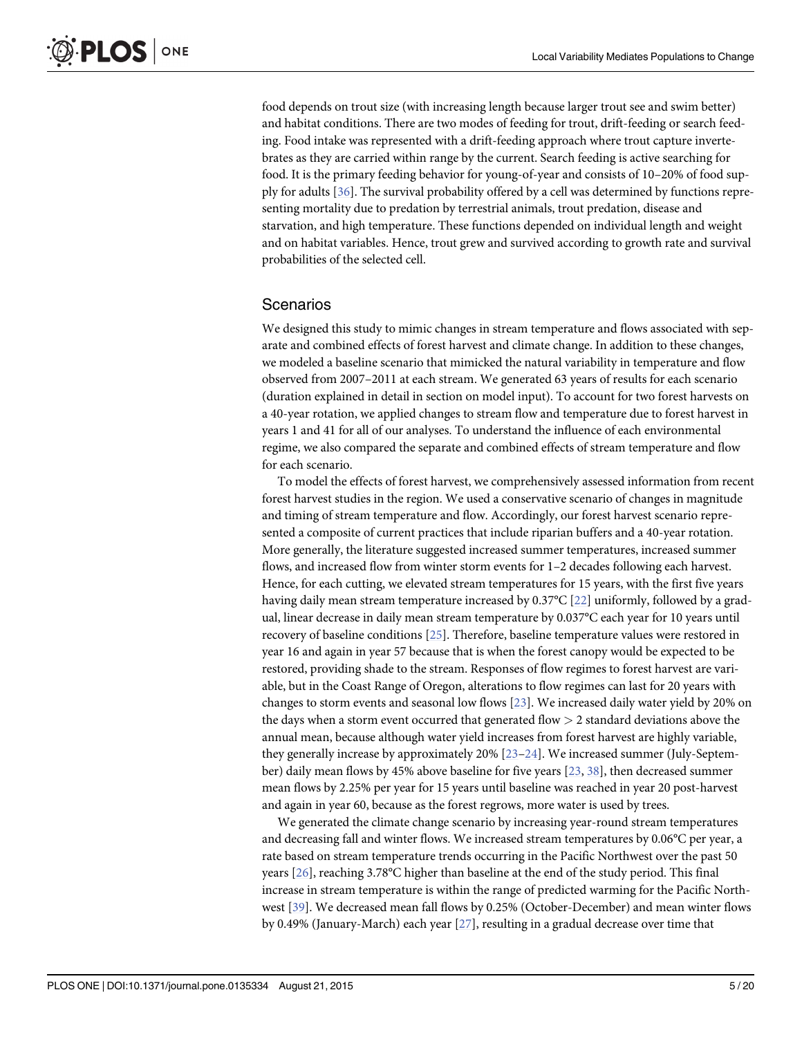<span id="page-4-0"></span>food depends on trout size (with increasing length because larger trout see and swim better) and habitat conditions. There are two modes of feeding for trout, drift-feeding or search feeding. Food intake was represented with a drift-feeding approach where trout capture invertebrates as they are carried within range by the current. Search feeding is active searching for food. It is the primary feeding behavior for young-of-year and consists of 10–20% of food supply for adults [[36](#page-17-0)]. The survival probability offered by a cell was determined by functions representing mortality due to predation by terrestrial animals, trout predation, disease and starvation, and high temperature. These functions depended on individual length and weight and on habitat variables. Hence, trout grew and survived according to growth rate and survival probabilities of the selected cell.

### Scenarios

We designed this study to mimic changes in stream temperature and flows associated with separate and combined effects of forest harvest and climate change. In addition to these changes, we modeled a baseline scenario that mimicked the natural variability in temperature and flow observed from 2007–2011 at each stream. We generated 63 years of results for each scenario (duration explained in detail in section on model input). To account for two forest harvests on a 40-year rotation, we applied changes to stream flow and temperature due to forest harvest in years 1 and 41 for all of our analyses. To understand the influence of each environmental regime, we also compared the separate and combined effects of stream temperature and flow for each scenario.

To model the effects of forest harvest, we comprehensively assessed information from recent forest harvest studies in the region. We used a conservative scenario of changes in magnitude and timing of stream temperature and flow. Accordingly, our forest harvest scenario represented a composite of current practices that include riparian buffers and a 40-year rotation. More generally, the literature suggested increased summer temperatures, increased summer flows, and increased flow from winter storm events for 1–2 decades following each harvest. Hence, for each cutting, we elevated stream temperatures for 15 years, with the first five years having daily mean stream temperature increased by 0.37°C [[22](#page-16-0)] uniformly, followed by a gradual, linear decrease in daily mean stream temperature by 0.037°C each year for 10 years until recovery of baseline conditions [\[25\]](#page-17-0). Therefore, baseline temperature values were restored in year 16 and again in year 57 because that is when the forest canopy would be expected to be restored, providing shade to the stream. Responses of flow regimes to forest harvest are variable, but in the Coast Range of Oregon, alterations to flow regimes can last for 20 years with changes to storm events and seasonal low flows [[23](#page-16-0)]. We increased daily water yield by 20% on the days when a storm event occurred that generated flow  $> 2$  standard deviations above the annual mean, because although water yield increases from forest harvest are highly variable, they generally increase by approximately 20%  $[23-24]$  $[23-24]$  $[23-24]$  $[23-24]$ . We increased summer (July-September) daily mean flows by 45% above baseline for five years [\[23,](#page-16-0) [38\]](#page-17-0), then decreased summer mean flows by 2.25% per year for 15 years until baseline was reached in year 20 post-harvest and again in year 60, because as the forest regrows, more water is used by trees.

We generated the climate change scenario by increasing year-round stream temperatures and decreasing fall and winter flows. We increased stream temperatures by 0.06°C per year, a rate based on stream temperature trends occurring in the Pacific Northwest over the past 50 years [\[26\]](#page-17-0), reaching 3.78°C higher than baseline at the end of the study period. This final increase in stream temperature is within the range of predicted warming for the Pacific Northwest [\[39\]](#page-17-0). We decreased mean fall flows by 0.25% (October-December) and mean winter flows by 0.49% (January-March) each year [[27](#page-17-0)], resulting in a gradual decrease over time that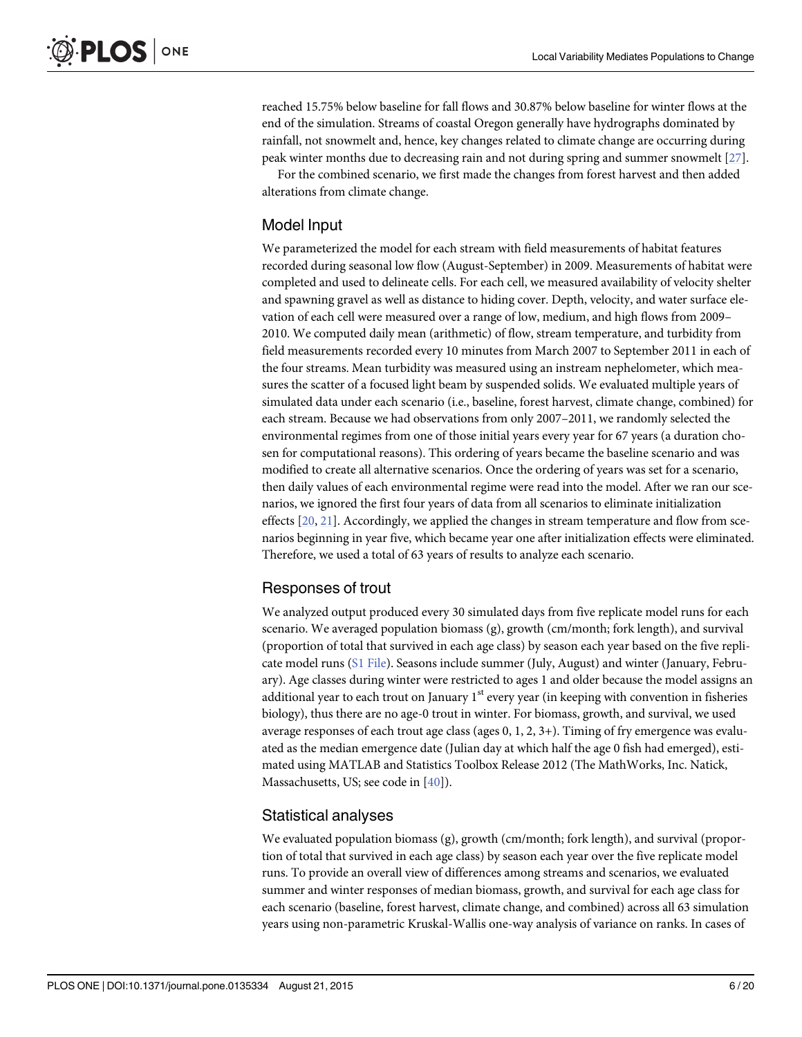<span id="page-5-0"></span>reached 15.75% below baseline for fall flows and 30.87% below baseline for winter flows at the end of the simulation. Streams of coastal Oregon generally have hydrographs dominated by rainfall, not snowmelt and, hence, key changes related to climate change are occurring during peak winter months due to decreasing rain and not during spring and summer snowmelt [[27](#page-17-0)].

For the combined scenario, we first made the changes from forest harvest and then added alterations from climate change.

## Model Input

We parameterized the model for each stream with field measurements of habitat features recorded during seasonal low flow (August-September) in 2009. Measurements of habitat were completed and used to delineate cells. For each cell, we measured availability of velocity shelter and spawning gravel as well as distance to hiding cover. Depth, velocity, and water surface elevation of each cell were measured over a range of low, medium, and high flows from 2009– 2010. We computed daily mean (arithmetic) of flow, stream temperature, and turbidity from field measurements recorded every 10 minutes from March 2007 to September 2011 in each of the four streams. Mean turbidity was measured using an instream nephelometer, which measures the scatter of a focused light beam by suspended solids. We evaluated multiple years of simulated data under each scenario (i.e., baseline, forest harvest, climate change, combined) for each stream. Because we had observations from only 2007–2011, we randomly selected the environmental regimes from one of those initial years every year for 67 years (a duration chosen for computational reasons). This ordering of years became the baseline scenario and was modified to create all alternative scenarios. Once the ordering of years was set for a scenario, then daily values of each environmental regime were read into the model. After we ran our scenarios, we ignored the first four years of data from all scenarios to eliminate initialization effects [[20](#page-16-0), [21](#page-16-0)]. Accordingly, we applied the changes in stream temperature and flow from scenarios beginning in year five, which became year one after initialization effects were eliminated. Therefore, we used a total of 63 years of results to analyze each scenario.

#### Responses of trout

We analyzed output produced every 30 simulated days from five replicate model runs for each scenario. We averaged population biomass (g), growth (cm/month; fork length), and survival (proportion of total that survived in each age class) by season each year based on the five replicate model runs ([S1 File\)](#page-14-0). Seasons include summer (July, August) and winter (January, February). Age classes during winter were restricted to ages 1 and older because the model assigns an additional year to each trout on January  $1<sup>st</sup>$  every year (in keeping with convention in fisheries biology), thus there are no age-0 trout in winter. For biomass, growth, and survival, we used average responses of each trout age class (ages 0, 1, 2, 3+). Timing of fry emergence was evaluated as the median emergence date (Julian day at which half the age 0 fish had emerged), estimated using MATLAB and Statistics Toolbox Release 2012 (The MathWorks, Inc. Natick, Massachusetts, US; see code in [[40](#page-17-0)]).

#### Statistical analyses

We evaluated population biomass (g), growth (cm/month; fork length), and survival (proportion of total that survived in each age class) by season each year over the five replicate model runs. To provide an overall view of differences among streams and scenarios, we evaluated summer and winter responses of median biomass, growth, and survival for each age class for each scenario (baseline, forest harvest, climate change, and combined) across all 63 simulation years using non-parametric Kruskal-Wallis one-way analysis of variance on ranks. In cases of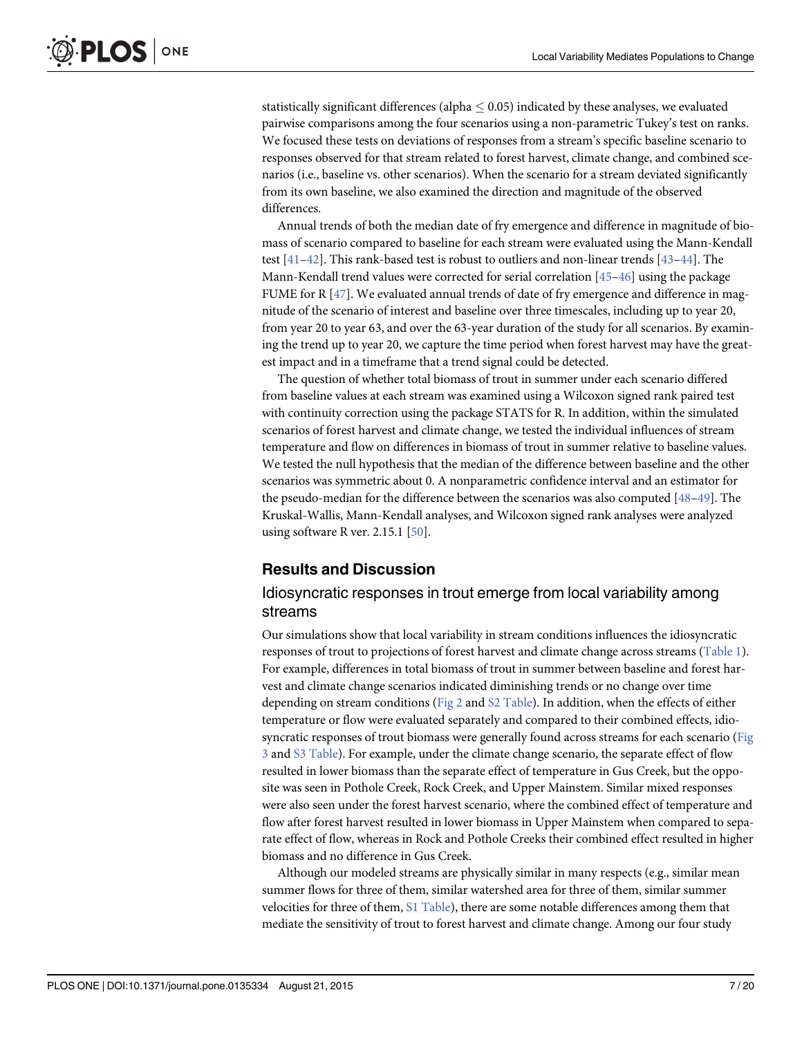<span id="page-6-0"></span>statistically significant differences (alpha  $< 0.05$ ) indicated by these analyses, we evaluated pairwise comparisons among the four scenarios using a non-parametric Tukey's test on ranks. We focused these tests on deviations of responses from a stream's specific baseline scenario to responses observed for that stream related to forest harvest, climate change, and combined scenarios (i.e., baseline vs. other scenarios). When the scenario for a stream deviated significantly from its own baseline, we also examined the direction and magnitude of the observed differences.

Annual trends of both the median date of fry emergence and difference in magnitude of biomass of scenario compared to baseline for each stream were evaluated using the Mann-Kendall test [[41](#page-17-0)–[42\]](#page-17-0). This rank-based test is robust to outliers and non-linear trends [[43](#page-17-0)–[44](#page-17-0)]. The Mann-Kendall trend values were corrected for serial correlation [[45](#page-17-0)–[46\]](#page-17-0) using the package FUME for R [[47](#page-17-0)]. We evaluated annual trends of date of fry emergence and difference in magnitude of the scenario of interest and baseline over three timescales, including up to year 20, from year 20 to year 63, and over the 63-year duration of the study for all scenarios. By examining the trend up to year 20, we capture the time period when forest harvest may have the greatest impact and in a timeframe that a trend signal could be detected.

The question of whether total biomass of trout in summer under each scenario differed from baseline values at each stream was examined using a Wilcoxon signed rank paired test with continuity correction using the package STATS for R. In addition, within the simulated scenarios of forest harvest and climate change, we tested the individual influences of stream temperature and flow on differences in biomass of trout in summer relative to baseline values. We tested the null hypothesis that the median of the difference between baseline and the other scenarios was symmetric about 0. A nonparametric confidence interval and an estimator for the pseudo-median for the difference between the scenarios was also computed  $[48-49]$  $[48-49]$  $[48-49]$  $[48-49]$ . The Kruskal-Wallis, Mann-Kendall analyses, and Wilcoxon signed rank analyses were analyzed using software R ver. 2.15.1 [[50](#page-18-0)].

## Results and Discussion

### Idiosyncratic responses in trout emerge from local variability among streams

Our simulations show that local variability in stream conditions influences the idiosyncratic responses of trout to projections of forest harvest and climate change across streams [\(Table 1](#page-7-0)). For example, differences in total biomass of trout in summer between baseline and forest harvest and climate change scenarios indicated diminishing trends or no change over time depending on stream conditions ( $Fig 2$  and  $S2$  Table). In addition, when the effects of either temperature or flow were evaluated separately and compared to their combined effects, idiosyncratic responses of trout biomass were generally found across streams for each scenario ([Fig](#page-9-0) [3](#page-9-0) and [S3 Table](#page-14-0)). For example, under the climate change scenario, the separate effect of flow resulted in lower biomass than the separate effect of temperature in Gus Creek, but the opposite was seen in Pothole Creek, Rock Creek, and Upper Mainstem. Similar mixed responses were also seen under the forest harvest scenario, where the combined effect of temperature and flow after forest harvest resulted in lower biomass in Upper Mainstem when compared to separate effect of flow, whereas in Rock and Pothole Creeks their combined effect resulted in higher biomass and no difference in Gus Creek.

Although our modeled streams are physically similar in many respects (e.g., similar mean summer flows for three of them, similar watershed area for three of them, similar summer velocities for three of them,  $\underline{S1}$  Table), there are some notable differences among them that mediate the sensitivity of trout to forest harvest and climate change. Among our four study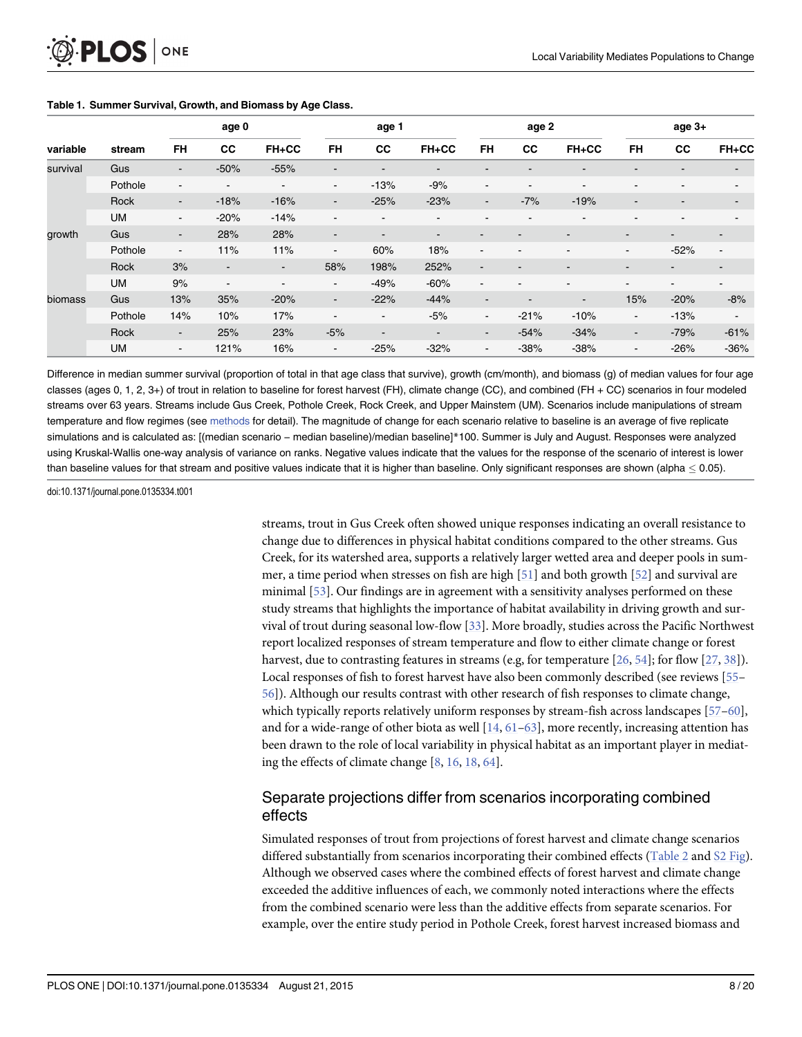<span id="page-7-0"></span>

| O PLOS ONE |  |
|------------|--|
|------------|--|

| variable | stream    | age 0          |                          |                | age 1                    |                          |                          | age 2                    |        |                          | age 3+                       |                |                          |
|----------|-----------|----------------|--------------------------|----------------|--------------------------|--------------------------|--------------------------|--------------------------|--------|--------------------------|------------------------------|----------------|--------------------------|
|          |           | <b>FH</b>      | <b>CC</b>                | FH+CC          | <b>FH</b>                | cc                       | FH+CC                    | FH                       | cc     | $FH + CC$                | <b>FH</b>                    | cc             | FH+CC                    |
| survival | Gus       | $\blacksquare$ | $-50%$                   | $-55%$         | $\blacksquare$           |                          |                          |                          |        |                          |                              |                | ۰.                       |
|          | Pothole   | $\sim$         | $\overline{\phantom{0}}$ | $\blacksquare$ | $\sim$                   | $-13%$                   | $-9%$                    | $\overline{\phantom{0}}$ |        | $\overline{\phantom{a}}$ | ۰                            |                | ۰                        |
|          | Rock      | $\blacksquare$ | $-18%$                   | $-16%$         | $\blacksquare$           | $-25%$                   | $-23%$                   | $\blacksquare$           | $-7%$  | $-19%$                   | $\overline{\phantom{0}}$     | $\blacksquare$ | $\overline{\phantom{0}}$ |
|          | <b>UM</b> | $\blacksquare$ | $-20%$                   | $-14%$         | $\blacksquare$           | $\overline{\phantom{0}}$ | -                        | $\overline{\phantom{0}}$ |        | $\overline{\phantom{0}}$ |                              |                |                          |
| growth   | Gus       | $\blacksquare$ | 28%                      | 28%            | $\blacksquare$           | $\overline{\phantom{a}}$ | $\overline{\phantom{a}}$ |                          |        |                          | $\qquad \qquad \blacksquare$ |                | $\blacksquare$           |
|          | Pothole   | $\sim$         | 11%                      | 11%            | $\overline{\phantom{a}}$ | 60%                      | 18%                      | $\sim$                   |        |                          | $\blacksquare$               | $-52%$         | $\,$                     |
|          | Rock      | 3%             | $\sim$                   | $\blacksquare$ | 58%                      | 198%                     | 252%                     | $\blacksquare$           |        |                          |                              |                | $\blacksquare$           |
|          | <b>UM</b> | 9%             | $\blacksquare$           | $\blacksquare$ | $\overline{\phantom{a}}$ | $-49%$                   | $-60%$                   | $\overline{\phantom{a}}$ |        |                          |                              |                |                          |
| biomass  | Gus       | 13%            | 35%                      | $-20%$         | $\blacksquare$           | $-22%$                   | $-44%$                   | $\overline{\phantom{a}}$ | -      | $\overline{\phantom{a}}$ | 15%                          | $-20%$         | $-8%$                    |
|          | Pothole   | 14%            | 10%                      | 17%            | $\blacksquare$           | $\blacksquare$           | $-5%$                    | $\blacksquare$           | $-21%$ | $-10%$                   | $\overline{\phantom{0}}$     | $-13%$         | $\sim$                   |
|          | Rock      | $\blacksquare$ | 25%                      | 23%            | $-5%$                    | $\blacksquare$           | $\blacksquare$           | $\blacksquare$           | $-54%$ | $-34%$                   | $\overline{\phantom{0}}$     | $-79%$         | $-61%$                   |
|          | <b>UM</b> | $\sim$         | 121%                     | 16%            | $\blacksquare$           | $-25%$                   | $-32%$                   | $\blacksquare$           | $-38%$ | $-38%$                   | $\overline{\phantom{0}}$     | $-26%$         | $-36%$                   |

#### [Table 1.](#page-6-0) Summer Survival, Growth, and Biomass by Age Class.

Difference in median summer survival (proportion of total in that age class that survive), growth (cm/month), and biomass (g) of median values for four age classes (ages 0, 1, 2, 3+) of trout in relation to baseline for forest harvest (FH), climate change (CC), and combined (FH + CC) scenarios in four modeled streams over 63 years. Streams include Gus Creek, Pothole Creek, Rock Creek, and Upper Mainstem (UM). Scenarios include manipulations of stream temperature and flow regimes (see [methods](#page-1-0) for detail). The magnitude of change for each scenario relative to baseline is an average of five replicate simulations and is calculated as: [(median scenario – median baseline)/median baseline]\*100. Summer is July and August. Responses were analyzed using Kruskal-Wallis one-way analysis of variance on ranks. Negative values indicate that the values for the response of the scenario of interest is lower than baseline values for that stream and positive values indicate that it is higher than baseline. Only significant responses are shown (alpha  $\leq 0.05$ ).

doi:10.1371/journal.pone.0135334.t001

streams, trout in Gus Creek often showed unique responses indicating an overall resistance to change due to differences in physical habitat conditions compared to the other streams. Gus Creek, for its watershed area, supports a relatively larger wetted area and deeper pools in summer, a time period when stresses on fish are high [\[51\]](#page-18-0) and both growth [[52\]](#page-18-0) and survival are minimal [\[53\]](#page-18-0). Our findings are in agreement with a sensitivity analyses performed on these study streams that highlights the importance of habitat availability in driving growth and survival of trout during seasonal low-flow [[33\]](#page-17-0). More broadly, studies across the Pacific Northwest report localized responses of stream temperature and flow to either climate change or forest harvest, due to contrasting features in streams (e.g, for temperature [[26](#page-17-0), [54](#page-18-0)]; for flow [[27](#page-17-0), [38](#page-17-0)]). Local responses of fish to forest harvest have also been commonly described (see reviews [\[55](#page-18-0)– [56\]](#page-18-0)). Although our results contrast with other research of fish responses to climate change, which typically reports relatively uniform responses by stream-fish across landscapes [\[57](#page-18-0)–[60](#page-18-0)], and for a wide-range of other biota as well  $[14, 61-63]$  $[14, 61-63]$  $[14, 61-63]$  $[14, 61-63]$  $[14, 61-63]$  $[14, 61-63]$  $[14, 61-63]$ , more recently, increasing attention has been drawn to the role of local variability in physical habitat as an important player in mediating the effects of climate change [[8,](#page-16-0) [16,](#page-16-0) [18,](#page-16-0) [64](#page-18-0)].

# Separate projections differ from scenarios incorporating combined effects

Simulated responses of trout from projections of forest harvest and climate change scenarios differed substantially from scenarios incorporating their combined effects ([Table 2](#page-10-0) and [S2 Fig](#page-14-0)). Although we observed cases where the combined effects of forest harvest and climate change exceeded the additive influences of each, we commonly noted interactions where the effects from the combined scenario were less than the additive effects from separate scenarios. For example, over the entire study period in Pothole Creek, forest harvest increased biomass and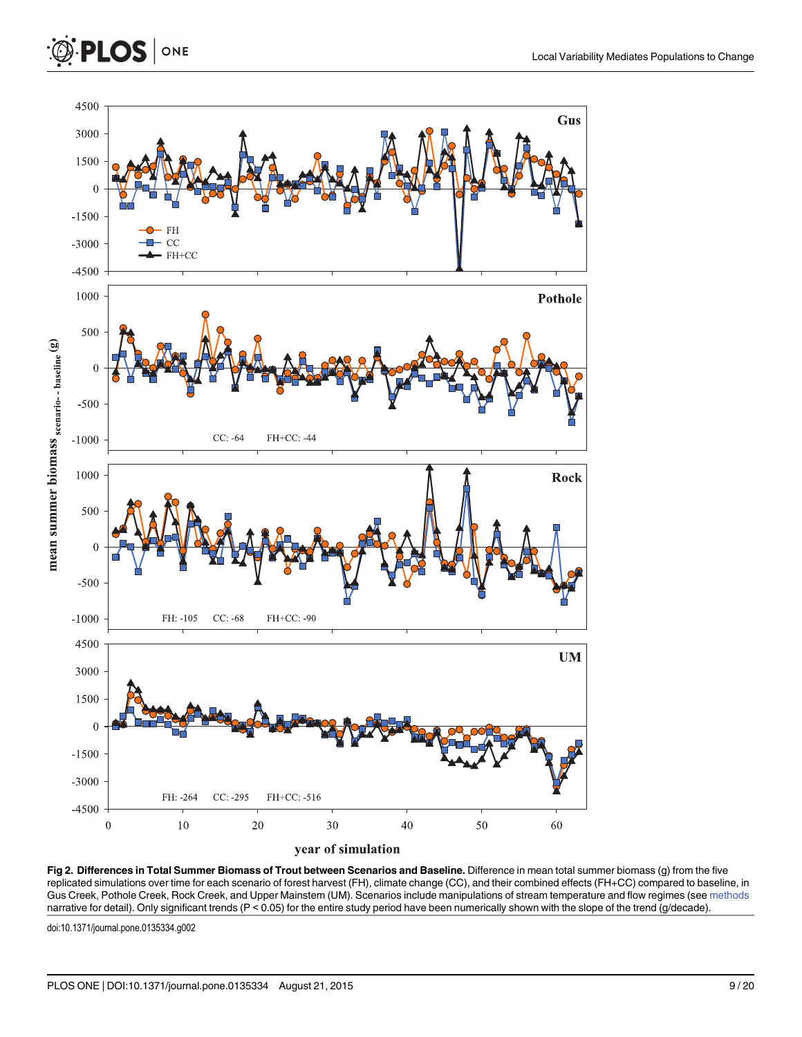<span id="page-8-0"></span>

[Fig 2. D](#page-6-0)ifferences in Total Summer Biomass of Trout between Scenarios and Baseline. Difference in mean total summer biomass (g) from the five replicated simulations over time for each scenario of forest harvest (FH), climate change (CC), and their combined effects (FH+CC) compared to baseline, in Gus Creek, Pothole Creek, Rock Creek, and Upper Mainstem (UM). Scenarios include manipulations of stream temperature and flow regimes (see [methods](#page-1-0) narrative for detail). Only significant trends (P < 0.05) for the entire study period have been numerically shown with the slope of the trend (g/decade).

doi:10.1371/journal.pone.0135334.g002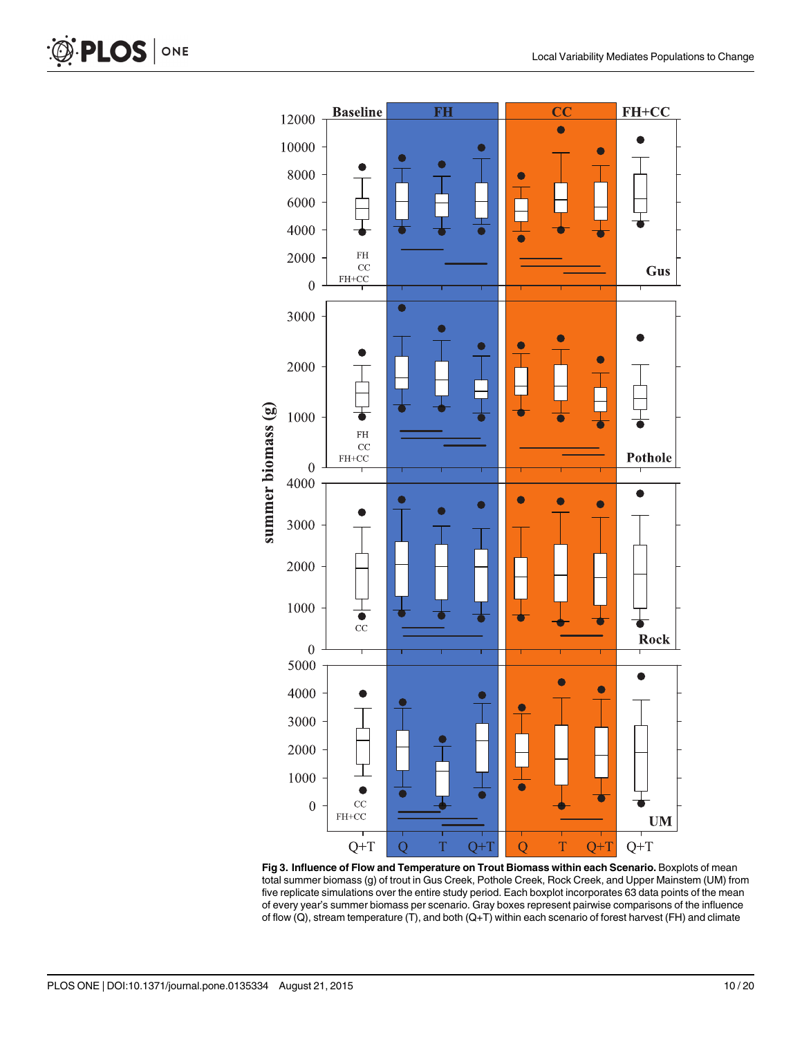

[Fig 3. I](#page-6-0)nfluence of Flow and Temperature on Trout Biomass within each Scenario. Boxplots of mean total summer biomass (g) of trout in Gus Creek, Pothole Creek, Rock Creek, and Upper Mainstem (UM) from five replicate simulations over the entire study period. Each boxplot incorporates 63 data points of the mean of every year's summer biomass per scenario. Gray boxes represent pairwise comparisons of the influence of flow (Q), stream temperature (T), and both (Q+T) within each scenario of forest harvest (FH) and climate

<span id="page-9-0"></span> $\bigcirc$  PLOS  $|$  ON E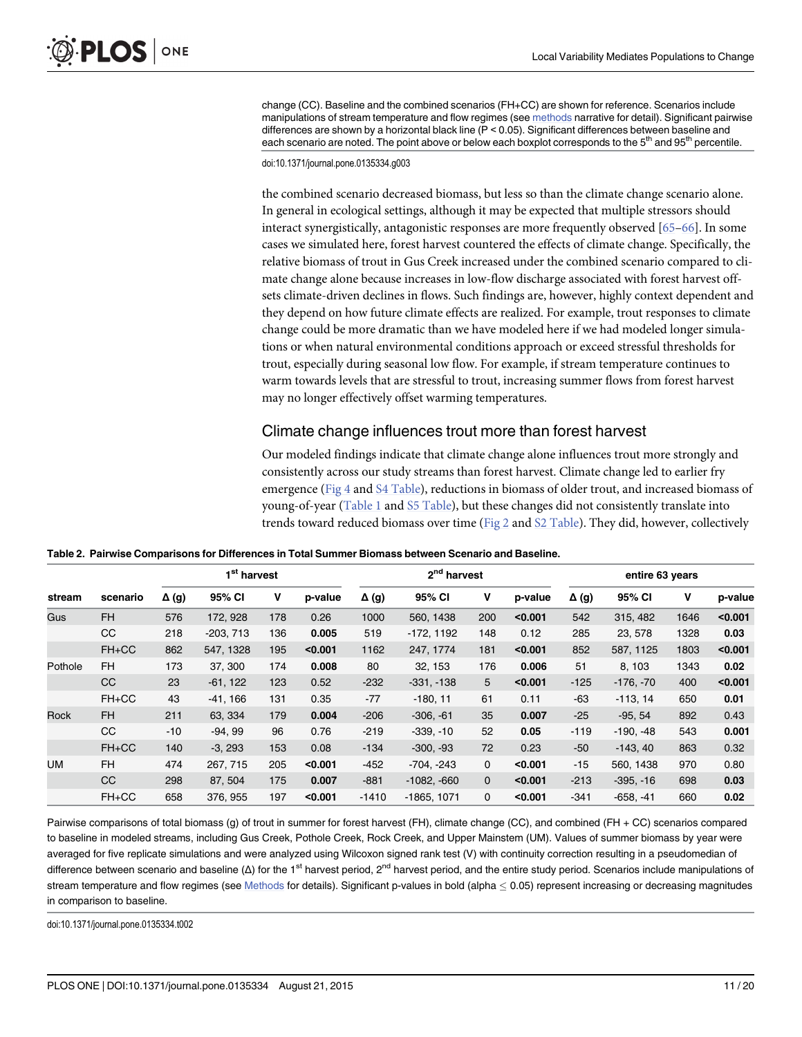<span id="page-10-0"></span>change (CC). Baseline and the combined scenarios (FH+CC) are shown for reference. Scenarios include manipulations of stream temperature and flow regimes (see [methods](#page-1-0) narrative for detail). Significant pairwise differences are shown by a horizontal black line (P < 0.05). Significant differences between baseline and each scenario are noted. The point above or below each boxplot corresponds to the 5<sup>th</sup> and 95<sup>th</sup> percentile.

doi:10.1371/journal.pone.0135334.g003

the combined scenario decreased biomass, but less so than the climate change scenario alone. In general in ecological settings, although it may be expected that multiple stressors should interact synergistically, antagonistic responses are more frequently observed [\[65](#page-18-0)–[66](#page-18-0)]. In some cases we simulated here, forest harvest countered the effects of climate change. Specifically, the relative biomass of trout in Gus Creek increased under the combined scenario compared to climate change alone because increases in low-flow discharge associated with forest harvest offsets climate-driven declines in flows. Such findings are, however, highly context dependent and they depend on how future climate effects are realized. For example, trout responses to climate change could be more dramatic than we have modeled here if we had modeled longer simulations or when natural environmental conditions approach or exceed stressful thresholds for trout, especially during seasonal low flow. For example, if stream temperature continues to warm towards levels that are stressful to trout, increasing summer flows from forest harvest may no longer effectively offset warming temperatures.

#### Climate change influences trout more than forest harvest

Our modeled findings indicate that climate change alone influences trout more strongly and consistently across our study streams than forest harvest. Climate change led to earlier fry emergence [\(Fig 4](#page-11-0) and [S4 Table\)](#page-15-0), reductions in biomass of older trout, and increased biomass of young-of-year [\(Table 1](#page-7-0) and [S5 Table\)](#page-15-0), but these changes did not consistently translate into trends toward reduced biomass over time ( $Fig 2$  and  $S2$  Table). They did, however, collectively

|         | Table 2.  Pairwise Comparisons for Differences in Total Summer Biomass between Scenario and Baseline. |                         |             |     |         |             |                         |              |                 |        |             |      |         |
|---------|-------------------------------------------------------------------------------------------------------|-------------------------|-------------|-----|---------|-------------|-------------------------|--------------|-----------------|--------|-------------|------|---------|
| stream  | scenario                                                                                              | 1 <sup>st</sup> harvest |             |     |         |             | 2 <sup>nd</sup> harvest |              | entire 63 years |        |             |      |         |
|         |                                                                                                       | $\Delta$ (g)            | 95% CI      | v   | p-value | $\Delta(g)$ | 95% CI                  | V            | p-value         | Δ (g)  | 95% CI      | V    | p-value |
| Gus     | <b>FH</b>                                                                                             | 576                     | 172, 928    | 178 | 0.26    | 1000        | 560, 1438               | 200          | < 0.001         | 542    | 315, 482    | 1646 | < 0.001 |
|         | <b>CC</b>                                                                                             | 218                     | $-203, 713$ | 136 | 0.005   | 519         | $-172, 1192$            | 148          | 0.12            | 285    | 23, 578     | 1328 | 0.03    |
|         | FH+CC                                                                                                 | 862                     | 547, 1328   | 195 | < 0.001 | 1162        | 247, 1774               | 181          | < 0.001         | 852    | 587, 1125   | 1803 | < 0.001 |
| Pothole | <b>FH</b>                                                                                             | 173                     | 37, 300     | 174 | 0.008   | 80          | 32, 153                 | 176          | 0.006           | 51     | 8, 103      | 1343 | 0.02    |
|         | <b>CC</b>                                                                                             | 23                      | $-61, 122$  | 123 | 0.52    | $-232$      | $-331, -138$            | 5            | < 0.001         | $-125$ | $-176, -70$ | 400  | < 0.001 |
|         | FH+CC                                                                                                 | 43                      | $-41, 166$  | 131 | 0.35    | $-77$       | $-180, 11$              | 61           | 0.11            | -63    | $-113, 14$  | 650  | 0.01    |
| Rock    | FH.                                                                                                   | 211                     | 63, 334     | 179 | 0.004   | $-206$      | $-306, -61$             | 35           | 0.007           | $-25$  | $-95, 54$   | 892  | 0.43    |
|         | <b>CC</b>                                                                                             | $-10$                   | $-94, 99$   | 96  | 0.76    | $-219$      | $-339, -10$             | 52           | 0.05            | $-119$ | $-190, -48$ | 543  | 0.001   |
|         | $FH + CC$                                                                                             | 140                     | $-3, 293$   | 153 | 0.08    | $-134$      | $-300, -93$             | 72           | 0.23            | $-50$  | $-143, 40$  | 863  | 0.32    |
| UM      | <b>FH</b>                                                                                             | 474                     | 267, 715    | 205 | < 0.001 | $-452$      | $-704, -243$            | 0            | < 0.001         | $-15$  | 560, 1438   | 970  | 0.80    |
|         | <b>CC</b>                                                                                             | 298                     | 87, 504     | 175 | 0.007   | $-881$      | $-1082. -660$           | $\mathbf{0}$ | < 0.001         | $-213$ | $-395, -16$ | 698  | 0.03    |
|         |                                                                                                       |                         |             |     |         |             |                         |              |                 |        |             |      |         |

Pairwise comparisons of total biomass (g) of trout in summer for forest harvest (FH), climate change (CC), and combined (FH + CC) scenarios compared to baseline in modeled streams, including Gus Creek, Pothole Creek, Rock Creek, and Upper Mainstem (UM). Values of summer biomass by year were averaged for five replicate simulations and were analyzed using Wilcoxon signed rank test (V) with continuity correction resulting in a pseudomedian of difference between scenario and baseline ( $\Delta$ ) for the 1<sup>st</sup> harvest period,  $2<sup>nd</sup>$  harvest period, and the entire study period. Scenarios include manipulations of stream temperature and flow regimes (see [Methods](#page-1-0) for details). Significant p-values in bold (alpha < 0.05) represent increasing or decreasing magnitudes in comparison to baseline.

FH+CC 658 376, 955 197 <0.001 -1410 -1865, 1071 0 <0.001 -341 -658, -41 660 0.02

doi:10.1371/journal.pone.0135334.t002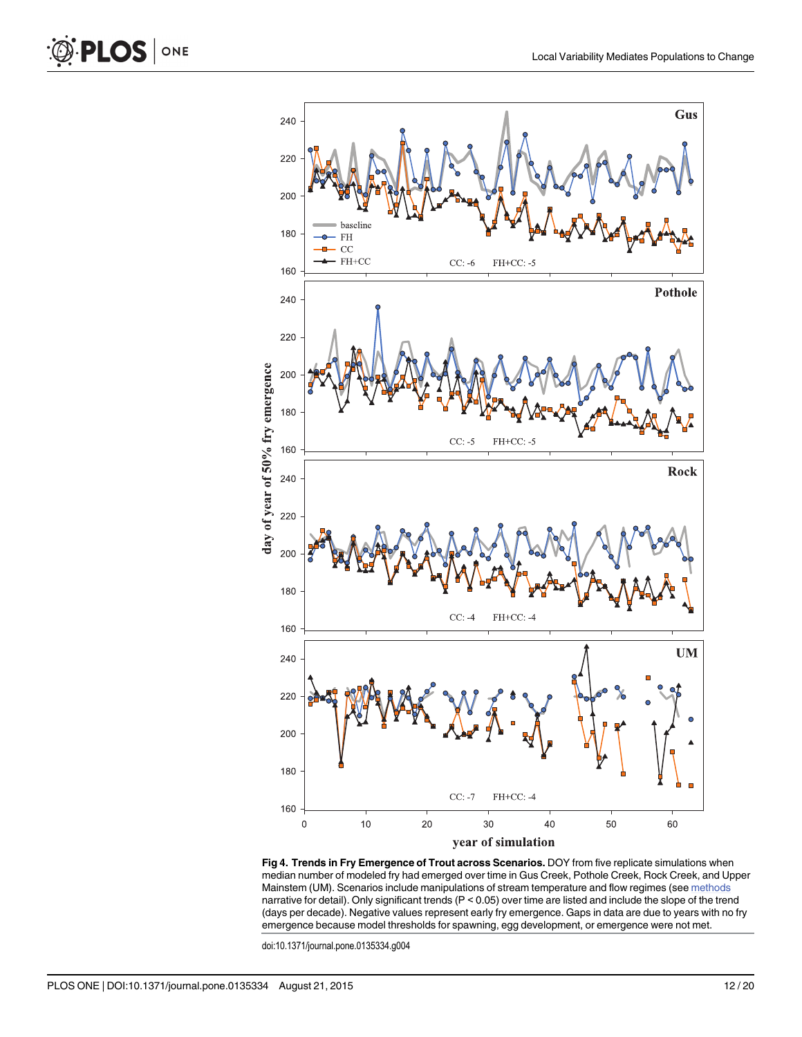<span id="page-11-0"></span>

[Fig 4. T](#page-10-0)rends in Fry Emergence of Trout across Scenarios. DOY from five replicate simulations when median number of modeled fry had emerged over time in Gus Creek, Pothole Creek, Rock Creek, and Upper Mainstem (UM). Scenarios include manipulations of stream temperature and flow regimes (see [methods](#page-1-0) narrative for detail). Only significant trends (P < 0.05) over time are listed and include the slope of the trend (days per decade). Negative values represent early fry emergence. Gaps in data are due to years with no fry emergence because model thresholds for spawning, egg development, or emergence were not met.

doi:10.1371/journal.pone.0135334.g004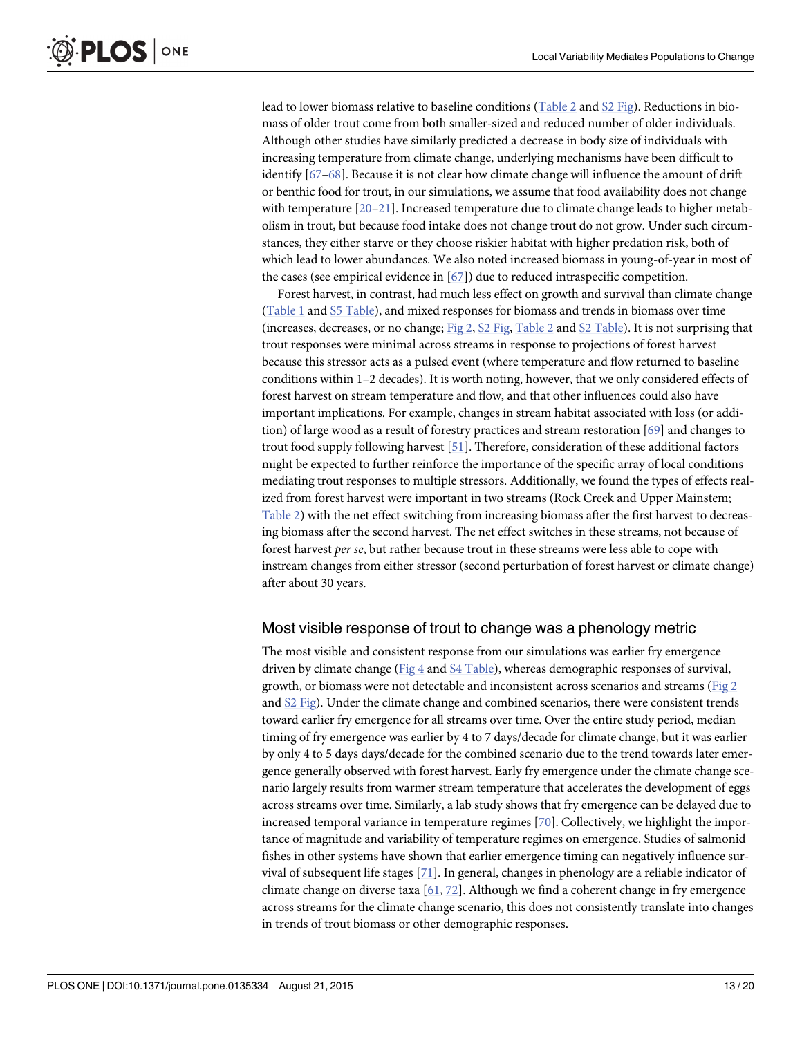<span id="page-12-0"></span>lead to lower biomass relative to baseline conditions ([Table 2](#page-10-0) and [S2 Fig\)](#page-14-0). Reductions in biomass of older trout come from both smaller-sized and reduced number of older individuals. Although other studies have similarly predicted a decrease in body size of individuals with increasing temperature from climate change, underlying mechanisms have been difficult to identify [\[67](#page-18-0)–[68\]](#page-18-0). Because it is not clear how climate change will influence the amount of drift or benthic food for trout, in our simulations, we assume that food availability does not change with temperature  $[20-21]$  $[20-21]$  $[20-21]$ . Increased temperature due to climate change leads to higher metabolism in trout, but because food intake does not change trout do not grow. Under such circumstances, they either starve or they choose riskier habitat with higher predation risk, both of which lead to lower abundances. We also noted increased biomass in young-of-year in most of the cases (see empirical evidence in [[67](#page-18-0)]) due to reduced intraspecific competition.

Forest harvest, in contrast, had much less effect on growth and survival than climate change [\(Table 1](#page-7-0) and [S5 Table\)](#page-15-0), and mixed responses for biomass and trends in biomass over time (increases, decreases, or no change; [Fig 2,](#page-8-0) [S2 Fig](#page-14-0), [Table 2](#page-10-0) and [S2 Table](#page-14-0)). It is not surprising that trout responses were minimal across streams in response to projections of forest harvest because this stressor acts as a pulsed event (where temperature and flow returned to baseline conditions within 1–2 decades). It is worth noting, however, that we only considered effects of forest harvest on stream temperature and flow, and that other influences could also have important implications. For example, changes in stream habitat associated with loss (or addition) of large wood as a result of forestry practices and stream restoration [[69](#page-18-0)] and changes to trout food supply following harvest [[51\]](#page-18-0). Therefore, consideration of these additional factors might be expected to further reinforce the importance of the specific array of local conditions mediating trout responses to multiple stressors. Additionally, we found the types of effects realized from forest harvest were important in two streams (Rock Creek and Upper Mainstem; [Table 2](#page-10-0)) with the net effect switching from increasing biomass after the first harvest to decreasing biomass after the second harvest. The net effect switches in these streams, not because of forest harvest per se, but rather because trout in these streams were less able to cope with instream changes from either stressor (second perturbation of forest harvest or climate change) after about 30 years.

#### Most visible response of trout to change was a phenology metric

The most visible and consistent response from our simulations was earlier fry emergence driven by climate change ( $Fig 4$  and  $54$  Table), whereas demographic responses of survival, growth, or biomass were not detectable and inconsistent across scenarios and streams ([Fig 2](#page-8-0) and  $S2$  Fig). Under the climate change and combined scenarios, there were consistent trends toward earlier fry emergence for all streams over time. Over the entire study period, median timing of fry emergence was earlier by 4 to 7 days/decade for climate change, but it was earlier by only 4 to 5 days days/decade for the combined scenario due to the trend towards later emergence generally observed with forest harvest. Early fry emergence under the climate change scenario largely results from warmer stream temperature that accelerates the development of eggs across streams over time. Similarly, a lab study shows that fry emergence can be delayed due to increased temporal variance in temperature regimes  $[70]$ . Collectively, we highlight the importance of magnitude and variability of temperature regimes on emergence. Studies of salmonid fishes in other systems have shown that earlier emergence timing can negatively influence survival of subsequent life stages [\[71\]](#page-19-0). In general, changes in phenology are a reliable indicator of climate change on diverse taxa  $[61, 72]$  $[61, 72]$  $[61, 72]$  $[61, 72]$ . Although we find a coherent change in fry emergence across streams for the climate change scenario, this does not consistently translate into changes in trends of trout biomass or other demographic responses.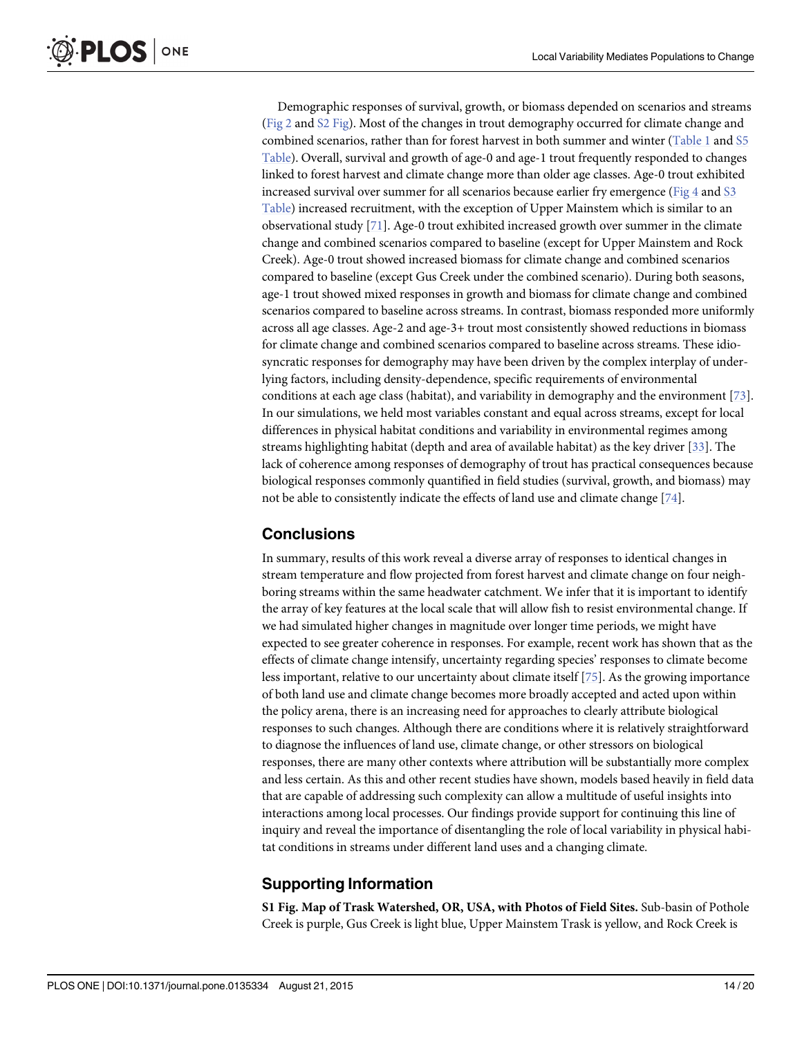<span id="page-13-0"></span>Demographic responses of survival, growth, or biomass depended on scenarios and streams [\(Fig 2](#page-8-0) and [S2 Fig](#page-14-0)). Most of the changes in trout demography occurred for climate change and combined scenarios, rather than for forest harvest in both summer and winter ([Table 1](#page-7-0) and [S5](#page-15-0) [Table](#page-15-0)). Overall, survival and growth of age-0 and age-1 trout frequently responded to changes linked to forest harvest and climate change more than older age classes. Age-0 trout exhibited increased survival over summer for all scenarios because earlier fry emergence ( $Fig 4$  and  $S3$ ) [Table](#page-14-0)) increased recruitment, with the exception of Upper Mainstem which is similar to an observational study [[71](#page-19-0)]. Age-0 trout exhibited increased growth over summer in the climate change and combined scenarios compared to baseline (except for Upper Mainstem and Rock Creek). Age-0 trout showed increased biomass for climate change and combined scenarios compared to baseline (except Gus Creek under the combined scenario). During both seasons, age-1 trout showed mixed responses in growth and biomass for climate change and combined scenarios compared to baseline across streams. In contrast, biomass responded more uniformly across all age classes. Age-2 and age-3+ trout most consistently showed reductions in biomass for climate change and combined scenarios compared to baseline across streams. These idiosyncratic responses for demography may have been driven by the complex interplay of underlying factors, including density-dependence, specific requirements of environmental conditions at each age class (habitat), and variability in demography and the environment [\[73\]](#page-19-0). In our simulations, we held most variables constant and equal across streams, except for local differences in physical habitat conditions and variability in environmental regimes among streams highlighting habitat (depth and area of available habitat) as the key driver  $[33]$  $[33]$  $[33]$ . The lack of coherence among responses of demography of trout has practical consequences because biological responses commonly quantified in field studies (survival, growth, and biomass) may not be able to consistently indicate the effects of land use and climate change [[74](#page-19-0)].

# **Conclusions**

In summary, results of this work reveal a diverse array of responses to identical changes in stream temperature and flow projected from forest harvest and climate change on four neighboring streams within the same headwater catchment. We infer that it is important to identify the array of key features at the local scale that will allow fish to resist environmental change. If we had simulated higher changes in magnitude over longer time periods, we might have expected to see greater coherence in responses. For example, recent work has shown that as the effects of climate change intensify, uncertainty regarding species' responses to climate become less important, relative to our uncertainty about climate itself [[75\]](#page-19-0). As the growing importance of both land use and climate change becomes more broadly accepted and acted upon within the policy arena, there is an increasing need for approaches to clearly attribute biological responses to such changes. Although there are conditions where it is relatively straightforward to diagnose the influences of land use, climate change, or other stressors on biological responses, there are many other contexts where attribution will be substantially more complex and less certain. As this and other recent studies have shown, models based heavily in field data that are capable of addressing such complexity can allow a multitude of useful insights into interactions among local processes. Our findings provide support for continuing this line of inquiry and reveal the importance of disentangling the role of local variability in physical habitat conditions in streams under different land uses and a changing climate.

# Supporting Information

[S1 Fig.](http://www.plosone.org/article/fetchSingleRepresentation.action?uri=info:doi/10.1371/journal.pone.0135334.s001) Map of Trask Watershed, OR, USA, with Photos of Field Sites. Sub-basin of Pothole Creek is purple, Gus Creek is light blue, Upper Mainstem Trask is yellow, and Rock Creek is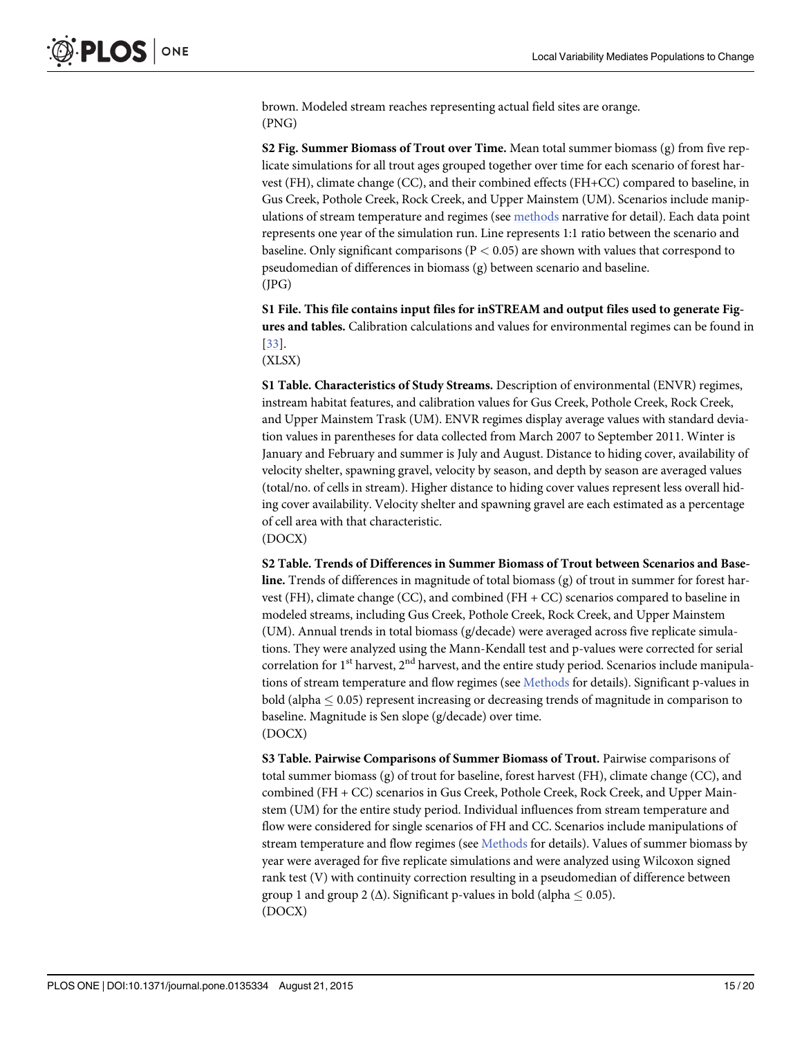<span id="page-14-0"></span>brown. Modeled stream reaches representing actual field sites are orange. (PNG)

[S2 Fig.](http://www.plosone.org/article/fetchSingleRepresentation.action?uri=info:doi/10.1371/journal.pone.0135334.s002) Summer Biomass of Trout over Time. Mean total summer biomass (g) from five replicate simulations for all trout ages grouped together over time for each scenario of forest harvest (FH), climate change (CC), and their combined effects (FH+CC) compared to baseline, in Gus Creek, Pothole Creek, Rock Creek, and Upper Mainstem (UM). Scenarios include manipulations of stream temperature and regimes (see [methods](#page-1-0) narrative for detail). Each data point represents one year of the simulation run. Line represents 1:1 ratio between the scenario and baseline. Only significant comparisons ( $P < 0.05$ ) are shown with values that correspond to pseudomedian of differences in biomass (g) between scenario and baseline. (JPG)

[S1 File.](http://www.plosone.org/article/fetchSingleRepresentation.action?uri=info:doi/10.1371/journal.pone.0135334.s003) This file contains input files for inSTREAM and output files used to generate Figures and tables. Calibration calculations and values for environmental regimes can be found in [\[33](#page-17-0)].

(XLSX)

[S1 Table](http://www.plosone.org/article/fetchSingleRepresentation.action?uri=info:doi/10.1371/journal.pone.0135334.s004). Characteristics of Study Streams. Description of environmental (ENVR) regimes, instream habitat features, and calibration values for Gus Creek, Pothole Creek, Rock Creek, and Upper Mainstem Trask (UM). ENVR regimes display average values with standard deviation values in parentheses for data collected from March 2007 to September 2011. Winter is January and February and summer is July and August. Distance to hiding cover, availability of velocity shelter, spawning gravel, velocity by season, and depth by season are averaged values (total/no. of cells in stream). Higher distance to hiding cover values represent less overall hiding cover availability. Velocity shelter and spawning gravel are each estimated as a percentage of cell area with that characteristic.

(DOCX)

[S2 Table](http://www.plosone.org/article/fetchSingleRepresentation.action?uri=info:doi/10.1371/journal.pone.0135334.s005). Trends of Differences in Summer Biomass of Trout between Scenarios and Baseline. Trends of differences in magnitude of total biomass (g) of trout in summer for forest harvest (FH), climate change (CC), and combined (FH + CC) scenarios compared to baseline in modeled streams, including Gus Creek, Pothole Creek, Rock Creek, and Upper Mainstem (UM). Annual trends in total biomass (g/decade) were averaged across five replicate simulations. They were analyzed using the Mann-Kendall test and p-values were corrected for serial correlation for 1<sup>st</sup> harvest, 2<sup>nd</sup> harvest, and the entire study period. Scenarios include manipulations of stream temperature and flow regimes (see [Methods](#page-1-0) for details). Significant p-values in bold (alpha  $\leq 0.05$ ) represent increasing or decreasing trends of magnitude in comparison to baseline. Magnitude is Sen slope (g/decade) over time. (DOCX)

[S3 Table](http://www.plosone.org/article/fetchSingleRepresentation.action?uri=info:doi/10.1371/journal.pone.0135334.s006). Pairwise Comparisons of Summer Biomass of Trout. Pairwise comparisons of total summer biomass (g) of trout for baseline, forest harvest (FH), climate change (CC), and combined (FH + CC) scenarios in Gus Creek, Pothole Creek, Rock Creek, and Upper Mainstem (UM) for the entire study period. Individual influences from stream temperature and flow were considered for single scenarios of FH and CC. Scenarios include manipulations of stream temperature and flow regimes (see [Methods](#page-1-0) for details). Values of summer biomass by year were averaged for five replicate simulations and were analyzed using Wilcoxon signed rank test (V) with continuity correction resulting in a pseudomedian of difference between group 1 and group 2 ( $\Delta$ ). Significant p-values in bold (alpha  $\leq 0.05$ ). (DOCX)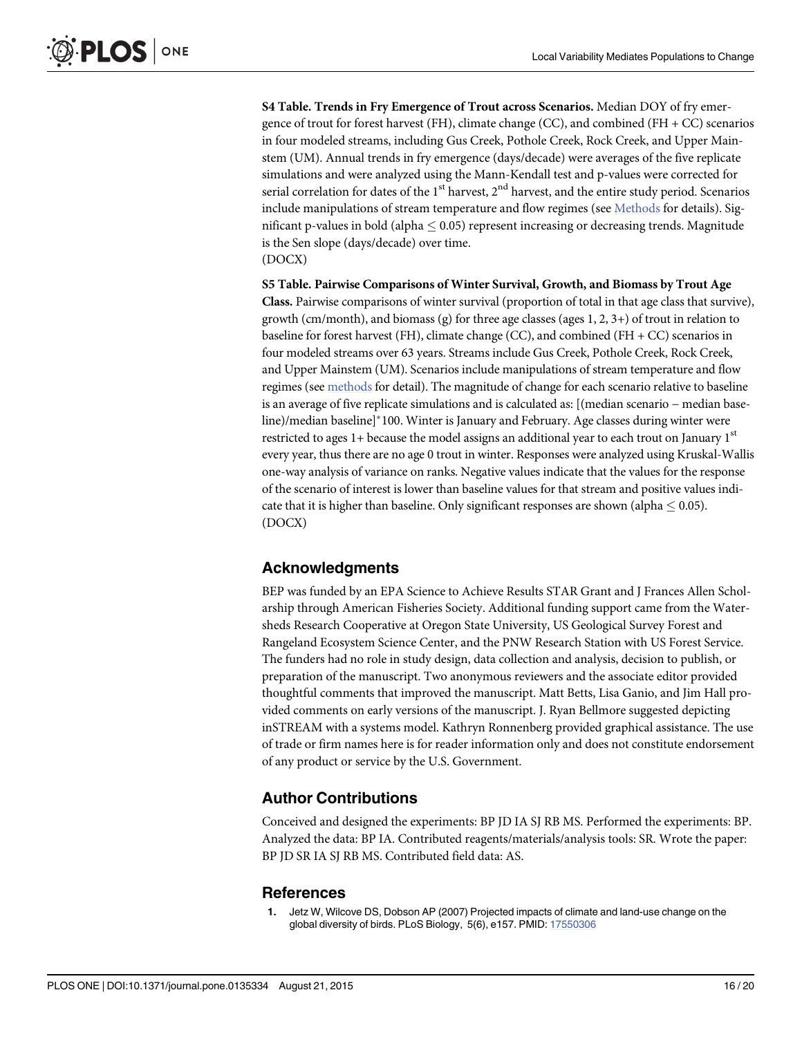<span id="page-15-0"></span>[S4 Table](http://www.plosone.org/article/fetchSingleRepresentation.action?uri=info:doi/10.1371/journal.pone.0135334.s007). Trends in Fry Emergence of Trout across Scenarios. Median DOY of fry emergence of trout for forest harvest (FH), climate change (CC), and combined (FH + CC) scenarios in four modeled streams, including Gus Creek, Pothole Creek, Rock Creek, and Upper Mainstem (UM). Annual trends in fry emergence (days/decade) were averages of the five replicate simulations and were analyzed using the Mann-Kendall test and p-values were corrected for serial correlation for dates of the  $1<sup>st</sup>$  harvest, 2<sup>nd</sup> harvest, and the entire study period. Scenarios include manipulations of stream temperature and flow regimes (see [Methods](#page-1-0) for details). Significant p-values in bold (alpha  $\leq$  0.05) represent increasing or decreasing trends. Magnitude is the Sen slope (days/decade) over time.



[S5 Table](http://www.plosone.org/article/fetchSingleRepresentation.action?uri=info:doi/10.1371/journal.pone.0135334.s008). Pairwise Comparisons of Winter Survival, Growth, and Biomass by Trout Age Class. Pairwise comparisons of winter survival (proportion of total in that age class that survive), growth (cm/month), and biomass (g) for three age classes (ages  $1, 2, 3+$ ) of trout in relation to baseline for forest harvest (FH), climate change (CC), and combined (FH + CC) scenarios in four modeled streams over 63 years. Streams include Gus Creek, Pothole Creek, Rock Creek, and Upper Mainstem (UM). Scenarios include manipulations of stream temperature and flow regimes (see [methods](#page-1-0) for detail). The magnitude of change for each scenario relative to baseline is an average of five replicate simulations and is calculated as: [(median scenario − median baseline)/median baseline]\*100. Winter is January and February. Age classes during winter were restricted to ages  $1+$  because the model assigns an additional year to each trout on January  $1<sup>st</sup>$ every year, thus there are no age 0 trout in winter. Responses were analyzed using Kruskal-Wallis one-way analysis of variance on ranks. Negative values indicate that the values for the response of the scenario of interest is lower than baseline values for that stream and positive values indicate that it is higher than baseline. Only significant responses are shown (alpha  $\leq 0.05$ ). (DOCX)

#### Acknowledgments

BEP was funded by an EPA Science to Achieve Results STAR Grant and J Frances Allen Scholarship through American Fisheries Society. Additional funding support came from the Watersheds Research Cooperative at Oregon State University, US Geological Survey Forest and Rangeland Ecosystem Science Center, and the PNW Research Station with US Forest Service. The funders had no role in study design, data collection and analysis, decision to publish, or preparation of the manuscript. Two anonymous reviewers and the associate editor provided thoughtful comments that improved the manuscript. Matt Betts, Lisa Ganio, and Jim Hall provided comments on early versions of the manuscript. J. Ryan Bellmore suggested depicting inSTREAM with a systems model. Kathryn Ronnenberg provided graphical assistance. The use of trade or firm names here is for reader information only and does not constitute endorsement of any product or service by the U.S. Government.

# Author Contributions

Conceived and designed the experiments: BP JD IA SJ RB MS. Performed the experiments: BP. Analyzed the data: BP IA. Contributed reagents/materials/analysis tools: SR. Wrote the paper: BP JD SR IA SJ RB MS. Contributed field data: AS.

#### **References**

[1.](#page-1-0) Jetz W, Wilcove DS, Dobson AP (2007) Projected impacts of climate and land-use change on the global diversity of birds. PLoS Biology, 5(6), e157. PMID: [17550306](http://www.ncbi.nlm.nih.gov/pubmed/17550306)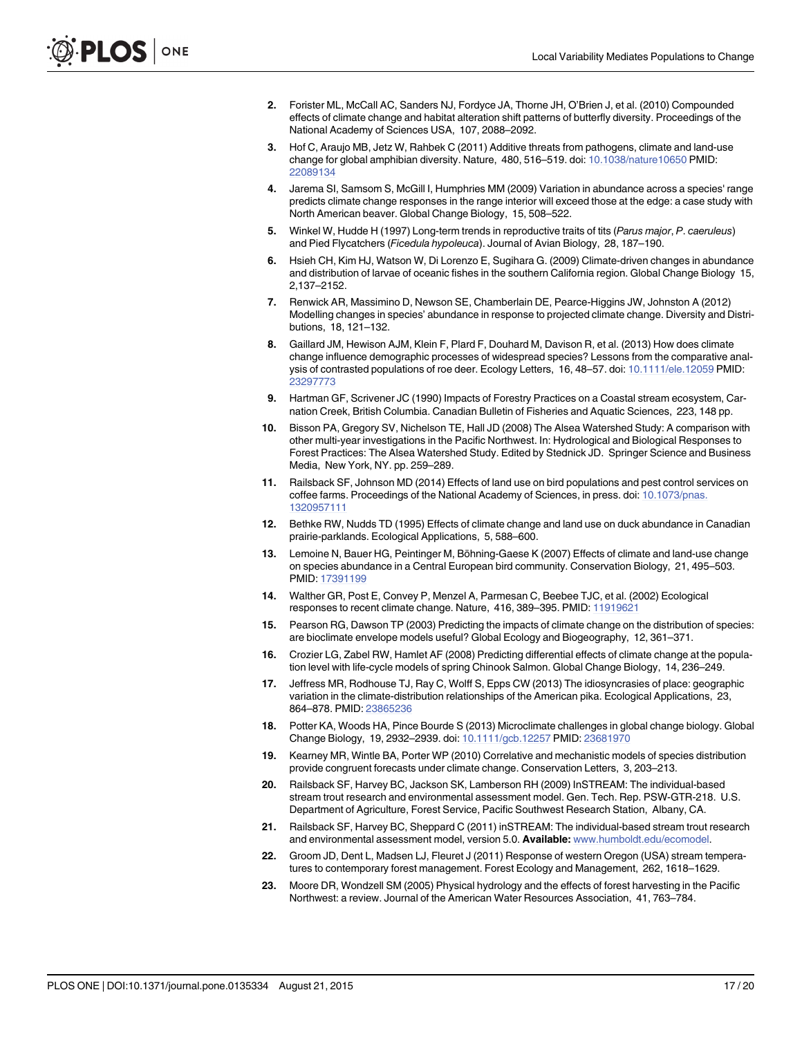- <span id="page-16-0"></span>2. Forister ML, McCall AC, Sanders NJ, Fordyce JA, Thorne JH, O'Brien J, et al. (2010) Compounded effects of climate change and habitat alteration shift patterns of butterfly diversity. Proceedings of the National Academy of Sciences USA, 107, 2088–2092.
- [3.](#page-1-0) Hof C, Araujo MB, Jetz W, Rahbek C (2011) Additive threats from pathogens, climate and land-use change for global amphibian diversity. Nature, 480, 516–519. doi: [10.1038/nature10650](http://dx.doi.org/10.1038/nature10650) PMID: [22089134](http://www.ncbi.nlm.nih.gov/pubmed/22089134)
- [4.](#page-1-0) Jarema SI, Samsom S, McGill I, Humphries MM (2009) Variation in abundance across a species' range predicts climate change responses in the range interior will exceed those at the edge: a case study with North American beaver. Global Change Biology, 15, 508–522.
- [5.](#page-1-0) Winkel W, Hudde H (1997) Long-term trends in reproductive traits of tits (Parus major, P. caeruleus) and Pied Flycatchers (Ficedula hypoleuca). Journal of Avian Biology, 28, 187–190.
- 6. Hsieh CH, Kim HJ, Watson W, Di Lorenzo E, Sugihara G. (2009) Climate-driven changes in abundance and distribution of larvae of oceanic fishes in the southern California region. Global Change Biology 15, 2,137–2152.
- 7. Renwick AR, Massimino D, Newson SE, Chamberlain DE, Pearce-Higgins JW, Johnston A (2012) Modelling changes in species' abundance in response to projected climate change. Diversity and Distributions, 18, 121–132.
- [8.](#page-1-0) Gaillard JM, Hewison AJM, Klein F, Plard F, Douhard M, Davison R, et al. (2013) How does climate change influence demographic processes of widespread species? Lessons from the comparative anal-ysis of contrasted populations of roe deer. Ecology Letters, 16, 48-57. doi: [10.1111/ele.12059](http://dx.doi.org/10.1111/ele.12059) PMID: [23297773](http://www.ncbi.nlm.nih.gov/pubmed/23297773)
- [9.](#page-1-0) Hartman GF, Scrivener JC (1990) Impacts of Forestry Practices on a Coastal stream ecosystem, Carnation Creek, British Columbia. Canadian Bulletin of Fisheries and Aquatic Sciences, 223, 148 pp.
- 10. Bisson PA, Gregory SV, Nichelson TE, Hall JD (2008) The Alsea Watershed Study: A comparison with other multi-year investigations in the Pacific Northwest. In: Hydrological and Biological Responses to Forest Practices: The Alsea Watershed Study. Edited by Stednick JD. Springer Science and Business Media, New York, NY. pp. 259–289.
- [11.](#page-1-0) Railsback SF, Johnson MD (2014) Effects of land use on bird populations and pest control services on coffee farms. Proceedings of the National Academy of Sciences, in press. doi: [10.1073/pnas.](http://dx.doi.org/10.1073/pnas.1320957111) [1320957111](http://dx.doi.org/10.1073/pnas.1320957111)
- [12.](#page-1-0) Bethke RW, Nudds TD (1995) Effects of climate change and land use on duck abundance in Canadian prairie-parklands. Ecological Applications, 5, 588–600.
- [13.](#page-1-0) Lemoine N, Bauer HG, Peintinger M, Böhning-Gaese K (2007) Effects of climate and land-use change on species abundance in a Central European bird community. Conservation Biology, 21, 495–503. PMID: [17391199](http://www.ncbi.nlm.nih.gov/pubmed/17391199)
- [14.](#page-1-0) Walther GR, Post E, Convey P, Menzel A, Parmesan C, Beebee TJC, et al. (2002) Ecological responses to recent climate change. Nature, 416, 389–395. PMID: [11919621](http://www.ncbi.nlm.nih.gov/pubmed/11919621)
- [15.](#page-1-0) Pearson RG, Dawson TP (2003) Predicting the impacts of climate change on the distribution of species: are bioclimate envelope models useful? Global Ecology and Biogeography, 12, 361–371.
- [16.](#page-7-0) Crozier LG, Zabel RW, Hamlet AF (2008) Predicting differential effects of climate change at the population level with life-cycle models of spring Chinook Salmon. Global Change Biology, 14, 236–249.
- [17.](#page-1-0) Jeffress MR, Rodhouse TJ, Ray C, Wolff S, Epps CW (2013) The idiosyncrasies of place: geographic variation in the climate-distribution relationships of the American pika. Ecological Applications, 23, 864–878. PMID: [23865236](http://www.ncbi.nlm.nih.gov/pubmed/23865236)
- [18.](#page-1-0) Potter KA, Woods HA, Pince Bourde S (2013) Microclimate challenges in global change biology. Global Change Biology, 19, 2932–2939. doi: [10.1111/gcb.12257](http://dx.doi.org/10.1111/gcb.12257) PMID: [23681970](http://www.ncbi.nlm.nih.gov/pubmed/23681970)
- [19.](#page-1-0) Kearney MR, Wintle BA, Porter WP (2010) Correlative and mechanistic models of species distribution provide congruent forecasts under climate change. Conservation Letters, 3, 203–213.
- [20.](#page-1-0) Railsback SF, Harvey BC, Jackson SK, Lamberson RH (2009) InSTREAM: The individual-based stream trout research and environmental assessment model. Gen. Tech. Rep. PSW-GTR-218. U.S. Department of Agriculture, Forest Service, Pacific Southwest Research Station, Albany, CA.
- [21.](#page-1-0) Railsback SF, Harvey BC, Sheppard C (2011) inSTREAM: The individual-based stream trout research and environmental assessment model, version 5.0. Available: [www.humboldt.edu/ecomodel.](http://www.humboldt.edu/ecomodel)
- [22.](#page-1-0) Groom JD, Dent L, Madsen LJ, Fleuret J (2011) Response of western Oregon (USA) stream temperatures to contemporary forest management. Forest Ecology and Management, 262, 1618–1629.
- [23.](#page-1-0) Moore DR, Wondzell SM (2005) Physical hydrology and the effects of forest harvesting in the Pacific Northwest: a review. Journal of the American Water Resources Association, 41, 763–784.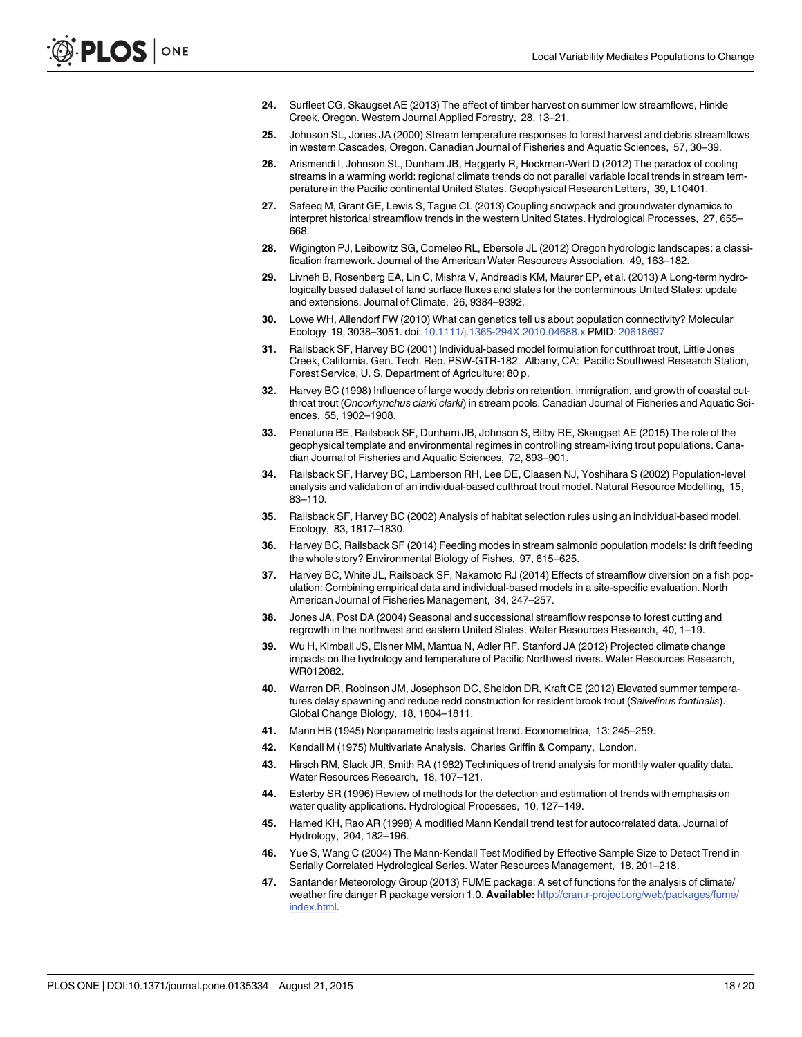- <span id="page-17-0"></span>[24.](#page-1-0) Surfleet CG, Skaugset AE (2013) The effect of timber harvest on summer low streamflows, Hinkle Creek, Oregon. Western Journal Applied Forestry, 28, 13–21.
- [25.](#page-1-0) Johnson SL, Jones JA (2000) Stream temperature responses to forest harvest and debris streamflows in western Cascades, Oregon. Canadian Journal of Fisheries and Aquatic Sciences, 57, 30–39.
- [26.](#page-1-0) Arismendi I, Johnson SL, Dunham JB, Haggerty R, Hockman-Wert D (2012) The paradox of cooling streams in a warming world: regional climate trends do not parallel variable local trends in stream temperature in the Pacific continental United States. Geophysical Research Letters, 39, L10401.
- [27.](#page-1-0) Safeeq M, Grant GE, Lewis S, Tague CL (2013) Coupling snowpack and groundwater dynamics to interpret historical streamflow trends in the western United States. Hydrological Processes, 27, 655– 668.
- [28.](#page-1-0) Wigington PJ, Leibowitz SG, Comeleo RL, Ebersole JL (2012) Oregon hydrologic landscapes: a classification framework. Journal of the American Water Resources Association, 49, 163–182.
- [29.](#page-1-0) Livneh B, Rosenberg EA, Lin C, Mishra V, Andreadis KM, Maurer EP, et al. (2013) A Long-term hydrologically based dataset of land surface fluxes and states for the conterminous United States: update and extensions. Journal of Climate, 26, 9384–9392.
- [30.](#page-2-0) Lowe WH, Allendorf FW (2010) What can genetics tell us about population connectivity? Molecular Ecology 19, 3038–3051. doi: [10.1111/j.1365-294X.2010.04688.x](http://dx.doi.org/10.1111/j.1365-294X.2010.04688.x) PMID: [20618697](http://www.ncbi.nlm.nih.gov/pubmed/20618697)
- [31.](#page-2-0) Railsback SF, Harvey BC (2001) Individual-based model formulation for cutthroat trout, Little Jones Creek, California. Gen. Tech. Rep. PSW-GTR-182. Albany, CA: Pacific Southwest Research Station, Forest Service, U. S. Department of Agriculture; 80 p.
- [32.](#page-2-0) Harvey BC (1998) Influence of large woody debris on retention, immigration, and growth of coastal cutthroat trout (Oncorhynchus clarki clarki) in stream pools. Canadian Journal of Fisheries and Aquatic Sciences, 55, 1902–1908.
- [33.](#page-2-0) Penaluna BE, Railsback SF, Dunham JB, Johnson S, Bilby RE, Skaugset AE (2015) The role of the geophysical template and environmental regimes in controlling stream-living trout populations. Canadian Journal of Fisheries and Aquatic Sciences, 72, 893–901.
- [34.](#page-2-0) Railsback SF, Harvey BC, Lamberson RH, Lee DE, Claasen NJ, Yoshihara S (2002) Population-level analysis and validation of an individual-based cutthroat trout model. Natural Resource Modelling, 15, 83–110.
- [35.](#page-2-0) Railsback SF, Harvey BC (2002) Analysis of habitat selection rules using an individual-based model. Ecology, 83, 1817–1830.
- [36.](#page-4-0) Harvey BC, Railsback SF (2014) Feeding modes in stream salmonid population models: Is drift feeding the whole story? Environmental Biology of Fishes, 97, 615–625.
- [37.](#page-2-0) Harvey BC, White JL, Railsback SF, Nakamoto RJ (2014) Effects of streamflow diversion on a fish population: Combining empirical data and individual-based models in a site-specific evaluation. North American Journal of Fisheries Management, 34, 247–257.
- [38.](#page-4-0) Jones JA, Post DA (2004) Seasonal and successional streamflow response to forest cutting and regrowth in the northwest and eastern United States. Water Resources Research, 40, 1–19.
- [39.](#page-4-0) Wu H, Kimball JS, Elsner MM, Mantua N, Adler RF, Stanford JA (2012) Projected climate change impacts on the hydrology and temperature of Pacific Northwest rivers. Water Resources Research, WR012082.
- [40.](#page-5-0) Warren DR, Robinson JM, Josephson DC, Sheldon DR, Kraft CE (2012) Elevated summer temperatures delay spawning and reduce redd construction for resident brook trout (Salvelinus fontinalis). Global Change Biology, 18, 1804–1811.
- [41.](#page-6-0) Mann HB (1945) Nonparametric tests against trend. Econometrica, 13: 245–259.
- [42.](#page-6-0) Kendall M (1975) Multivariate Analysis. Charles Griffin & Company, London.
- [43.](#page-6-0) Hirsch RM, Slack JR, Smith RA (1982) Techniques of trend analysis for monthly water quality data. Water Resources Research, 18, 107–121.
- [44.](#page-6-0) Esterby SR (1996) Review of methods for the detection and estimation of trends with emphasis on water quality applications. Hydrological Processes, 10, 127–149.
- [45.](#page-6-0) Hamed KH, Rao AR (1998) A modified Mann Kendall trend test for autocorrelated data. Journal of Hydrology, 204, 182–196.
- [46.](#page-6-0) Yue S, Wang C (2004) The Mann-Kendall Test Modified by Effective Sample Size to Detect Trend in Serially Correlated Hydrological Series. Water Resources Management, 18, 201–218.
- [47.](#page-6-0) Santander Meteorology Group (2013) FUME package: A set of functions for the analysis of climate/ weather fire danger R package version 1.0. Available: [http://cran.r-project.org/web/packages/fume/](http://cran.r-project.org/web/packages/fume/index.html) [index.html.](http://cran.r-project.org/web/packages/fume/index.html)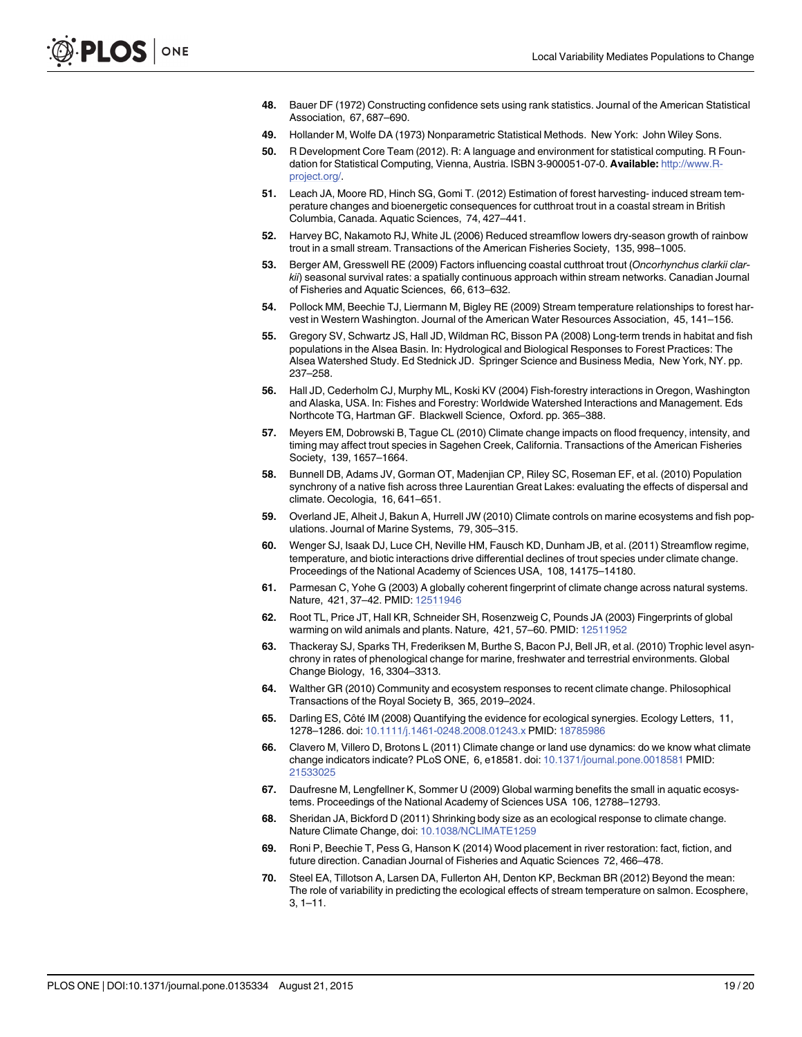- <span id="page-18-0"></span>[48.](#page-6-0) Bauer DF (1972) Constructing confidence sets using rank statistics. Journal of the American Statistical Association, 67, 687–690.
- [49.](#page-6-0) Hollander M, Wolfe DA (1973) Nonparametric Statistical Methods. New York: John Wiley Sons.
- [50.](#page-6-0) R Development Core Team (2012). R: A language and environment for statistical computing. R Foundation for Statistical Computing, Vienna, Austria. ISBN 3-900051-07-0. Available: [http://www.R](http://www.R-project.org/)[project.org/](http://www.R-project.org/).
- [51.](#page-7-0) Leach JA, Moore RD, Hinch SG, Gomi T. (2012) Estimation of forest harvesting- induced stream temperature changes and bioenergetic consequences for cutthroat trout in a coastal stream in British Columbia, Canada. Aquatic Sciences, 74, 427–441.
- [52.](#page-7-0) Harvey BC, Nakamoto RJ, White JL (2006) Reduced streamflow lowers dry-season growth of rainbow trout in a small stream. Transactions of the American Fisheries Society, 135, 998–1005.
- [53.](#page-7-0) Berger AM, Gresswell RE (2009) Factors influencing coastal cutthroat trout (Oncorhynchus clarkii clarkii) seasonal survival rates: a spatially continuous approach within stream networks. Canadian Journal of Fisheries and Aquatic Sciences, 66, 613–632.
- [54.](#page-7-0) Pollock MM, Beechie TJ, Liermann M, Bigley RE (2009) Stream temperature relationships to forest harvest in Western Washington. Journal of the American Water Resources Association, 45, 141–156.
- [55.](#page-7-0) Gregory SV, Schwartz JS, Hall JD, Wildman RC, Bisson PA (2008) Long-term trends in habitat and fish populations in the Alsea Basin. In: Hydrological and Biological Responses to Forest Practices: The Alsea Watershed Study. Ed Stednick JD. Springer Science and Business Media, New York, NY. pp. 237–258.
- [56.](#page-7-0) Hall JD, Cederholm CJ, Murphy ML, Koski KV (2004) Fish-forestry interactions in Oregon, Washington and Alaska, USA. In: Fishes and Forestry: Worldwide Watershed Interactions and Management. Eds Northcote TG, Hartman GF. Blackwell Science, Oxford. pp. 365–388.
- [57.](#page-7-0) Meyers EM, Dobrowski B, Tague CL (2010) Climate change impacts on flood frequency, intensity, and timing may affect trout species in Sagehen Creek, California. Transactions of the American Fisheries Society, 139, 1657–1664.
- 58. Bunnell DB, Adams JV, Gorman OT, Madenjian CP, Riley SC, Roseman EF, et al. (2010) Population synchrony of a native fish across three Laurentian Great Lakes: evaluating the effects of dispersal and climate. Oecologia, 16, 641–651.
- 59. Overland JE, Alheit J, Bakun A, Hurrell JW (2010) Climate controls on marine ecosystems and fish populations. Journal of Marine Systems, 79, 305–315.
- [60.](#page-7-0) Wenger SJ, Isaak DJ, Luce CH, Neville HM, Fausch KD, Dunham JB, et al. (2011) Streamflow regime, temperature, and biotic interactions drive differential declines of trout species under climate change. Proceedings of the National Academy of Sciences USA, 108, 14175–14180.
- [61.](#page-7-0) Parmesan C, Yohe G (2003) A globally coherent fingerprint of climate change across natural systems. Nature, 421, 37–42. PMID: [12511946](http://www.ncbi.nlm.nih.gov/pubmed/12511946)
- 62. Root TL, Price JT, Hall KR, Schneider SH, Rosenzweig C, Pounds JA (2003) Fingerprints of global warming on wild animals and plants. Nature, 421, 57–60. PMID: [12511952](http://www.ncbi.nlm.nih.gov/pubmed/12511952)
- [63.](#page-7-0) Thackeray SJ, Sparks TH, Frederiksen M, Burthe S, Bacon PJ, Bell JR, et al. (2010) Trophic level asynchrony in rates of phenological change for marine, freshwater and terrestrial environments. Global Change Biology, 16, 3304–3313.
- [64.](#page-7-0) Walther GR (2010) Community and ecosystem responses to recent climate change. Philosophical Transactions of the Royal Society B, 365, 2019–2024.
- [65.](#page-10-0) Darling ES, Côté IM (2008) Quantifying the evidence for ecological synergies. Ecology Letters, 11, 1278–1286. doi: [10.1111/j.1461-0248.2008.01243.x](http://dx.doi.org/10.1111/j.1461-0248.2008.01243.x) PMID: [18785986](http://www.ncbi.nlm.nih.gov/pubmed/18785986)
- [66.](#page-10-0) Clavero M, Villero D, Brotons L (2011) Climate change or land use dynamics: do we know what climate change indicators indicate? PLoS ONE, 6, e18581. doi: [10.1371/journal.pone.0018581](http://dx.doi.org/10.1371/journal.pone.0018581) PMID: [21533025](http://www.ncbi.nlm.nih.gov/pubmed/21533025)
- [67.](#page-12-0) Daufresne M, Lengfellner K, Sommer U (2009) Global warming benefits the small in aquatic ecosystems. Proceedings of the National Academy of Sciences USA 106, 12788–12793.
- [68.](#page-12-0) Sheridan JA, Bickford D (2011) Shrinking body size as an ecological response to climate change. Nature Climate Change, doi: [10.1038/NCLIMATE1259](http://dx.doi.org/10.1038/NCLIMATE1259)
- [69.](#page-12-0) Roni P, Beechie T, Pess G, Hanson K (2014) Wood placement in river restoration: fact, fiction, and future direction. Canadian Journal of Fisheries and Aquatic Sciences 72, 466–478.
- [70.](#page-12-0) Steel EA, Tillotson A, Larsen DA, Fullerton AH, Denton KP, Beckman BR (2012) Beyond the mean: The role of variability in predicting the ecological effects of stream temperature on salmon. Ecosphere, 3, 1–11.